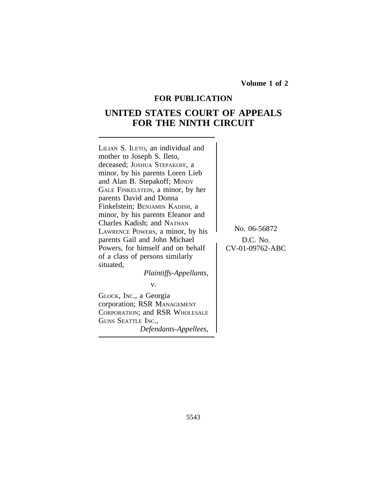**Volume 1 of 2**

# **FOR PUBLICATION**

# **UNITED STATES COURT OF APPEALS FOR THE NINTH CIRCUIT**

<sup>L</sup>ILIAN S. ILETO, an individual and mother to Joseph S. Ileto, deceased; JOSHUA STEPAKOFF, a minor, by his parents Loren Lieb and Alan B. Stepakoff; MINDY GALE FINKELSTEIN, a minor, by her parents David and Donna Finkelstein; BENJAMIN KADISH, a minor, by his parents Eleanor and Charles Kadish; and NATHAN EXECUTE POWERS, a minor, by his<br>
parents Gail and John Michael D.C. No. parents Gail and John Michael <br>Powers, for himself and on behalf CV-01-09762-ABC Powers, for himself and on behalf of a class of persons similarly situated,

*Plaintiffs-Appellants,*

v.

GLOCK, INC., a Georgia corporation; RSR MANAGEMENT CORPORATION; and RSR WHOLESALE GUNS SEATTLE INC., *Defendants-Appellees,*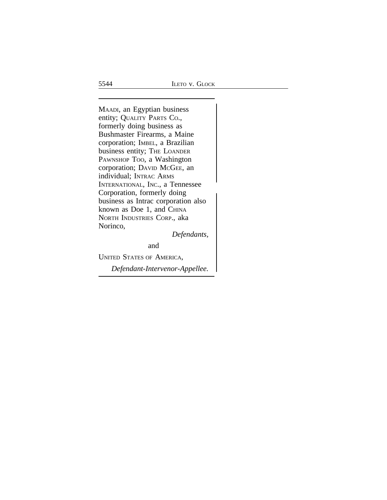<sup>M</sup>AADI, an Egyptian business entity; QUALITY PARTS CO., formerly doing business as Bushmaster Firearms, a Maine corporation; IMBEL, a Brazilian business entity; THE LOANDER PAWNSHOP TOO, a Washington corporation; DAVID MCGEE, an individual; INTRAC ARMS INTERNATIONAL, INC., a Tennessee Corporation, formerly doing business as Intrac corporation also known as Doe 1, and CHINA NORTH INDUSTRIES CORP., aka Norinco,

*Defendants,*

and

UNITED STATES OF AMERICA,

*Defendant-Intervenor-Appellee.*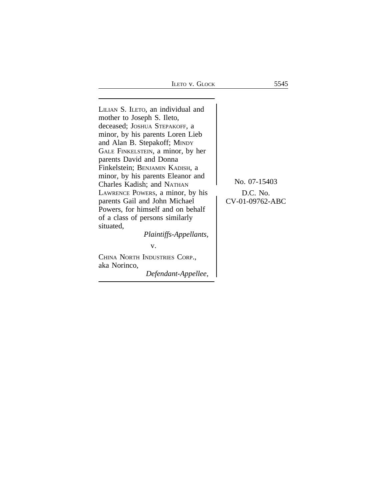ILETO V. GLOCK 5545

<sup>L</sup>ILIAN S. ILETO, an individual and mother to Joseph S. Ileto, deceased; JOSHUA STEPAKOFF, a minor, by his parents Loren Lieb and Alan B. Stepakoff; MINDY GALE FINKELSTEIN, a minor, by her parents David and Donna Finkelstein; BENJAMIN KADISH, a minor, by his parents Eleanor and No. 07-15403<br>Charles Kadish; and NATHAN<br>LAWRENCE POWERS, a minor, by his D.C. No. LAWRENCE POWERS, a minor, by his <br>parents Gail and John Michael CV-01-09762-ABC parents Gail and John Michael Powers, for himself and on behalf of a class of persons similarly situated, *Plaintiffs-Appellants,*

v.

CHINA NORTH INDUSTRIES CORP., aka Norinco,

*Defendant-Appellee,*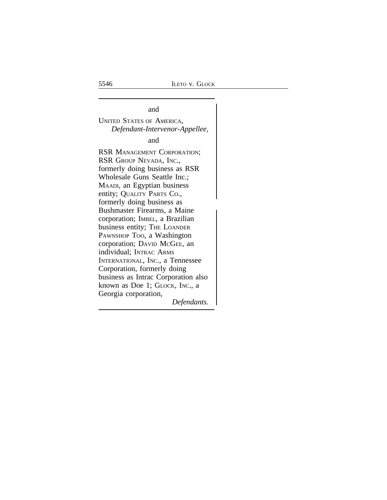and the contract of the contract of the contract of the contract of the contract of the contract of the contract of the contract of the contract of the contract of the contract of the contract of the contract of the contra UNITED STATES OF AMERICA, *Defendant-Intervenor-Appellee,*

and

RSR MANAGEMENT CORPORATION; RSR GROUP NEVADA, INC., formerly doing business as RSR Wholesale Guns Seattle Inc.; MAADI, an Egyptian business entity; QUALITY PARTS CO., formerly doing business as Bushmaster Firearms, a Maine corporation; IMBEL, a Brazilian business entity; THE LOANDER PAWNSHOP Too, a Washington corporation; DAVID MCGEE, an individual; INTRAC ARMS INTERNATIONAL, INC., a Tennessee Corporation, formerly doing business as Intrac Corporation also known as Doe 1; GLOCK, INC., a Georgia corporation, *Defendants.*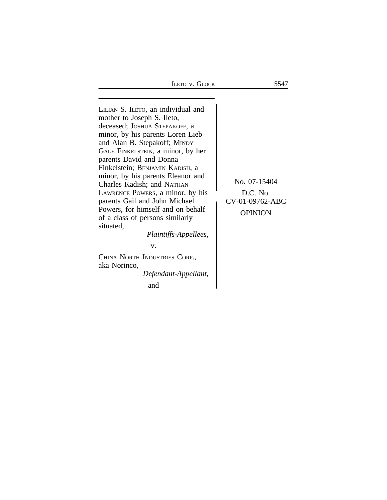ILETO V. GLOCK 5547

<sup>L</sup>ILIAN S. ILETO, an individual and mother to Joseph S. Ileto, deceased; JOSHUA STEPAKOFF, a minor, by his parents Loren Lieb and Alan B. Stepakoff; MINDY GALE FINKELSTEIN, a minor, by her parents David and Donna Finkelstein; BENJAMIN KADISH, a minor, by his parents Eleanor and No. 07-15404<br>Charles Kadish; and NATHAN<br>LAWRENCE POWERS, a minor, by his D.C. No. LAWRENCE POWERS, a minor, by his <br>parents Gail and John Michael CV-01-09762-ABC parents Gail and John Michael<br>Powers, for himself and on behalf Powers, for himself and on behalf opension of a class of persons similarly situated, *Plaintiffs-Appellees,* v.

CHINA NORTH INDUSTRIES CORP., aka Norinco, *Defendant-Appellant,*

and the contract of the contract of the contract of the contract of the contract of the contract of the contract of the contract of the contract of the contract of the contract of the contract of the contract of the contra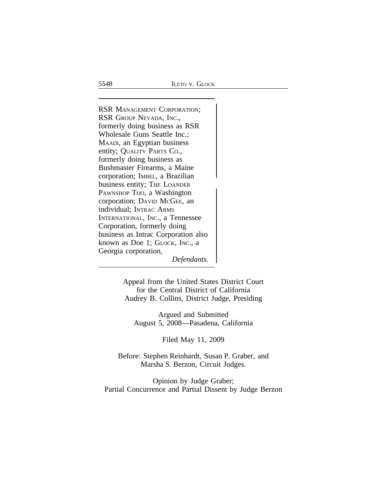RSR MANAGEMENT CORPORATION; RSR GROUP NEVADA, INC., formerly doing business as RSR Wholesale Guns Seattle Inc.; MAADI, an Egyptian business entity; QUALITY PARTS CO., formerly doing business as Bushmaster Firearms, a Maine corporation; IMBEL, a Brazilian business entity; THE LOANDER PAWNSHOP TOO, a Washington corporation; DAVID MCGEE, an individual; INTRAC ARMS INTERNATIONAL, INC., a Tennessee Corporation, formerly doing business as Intrac Corporation also known as Doe 1; GLOCK, INC., a Georgia corporation, *Defendants.*

> Appeal from the United States District Court for the Central District of California Audrey B. Collins, District Judge, Presiding

Argued and Submitted August 5, 2008—Pasadena, California

Filed May 11, 2009

Before: Stephen Reinhardt, Susan P. Graber, and Marsha S. Berzon, Circuit Judges.

Opinion by Judge Graber; Partial Concurrence and Partial Dissent by Judge Berzon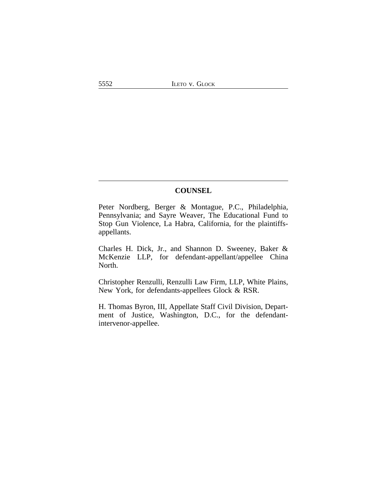## **COUNSEL**

Peter Nordberg, Berger & Montague, P.C., Philadelphia, Pennsylvania; and Sayre Weaver, The Educational Fund to Stop Gun Violence, La Habra, California, for the plaintiffsappellants.

Charles H. Dick, Jr., and Shannon D. Sweeney, Baker & McKenzie LLP, for defendant-appellant/appellee China North.

Christopher Renzulli, Renzulli Law Firm, LLP, White Plains, New York, for defendants-appellees Glock & RSR.

H. Thomas Byron, III, Appellate Staff Civil Division, Department of Justice, Washington, D.C., for the defendantintervenor-appellee.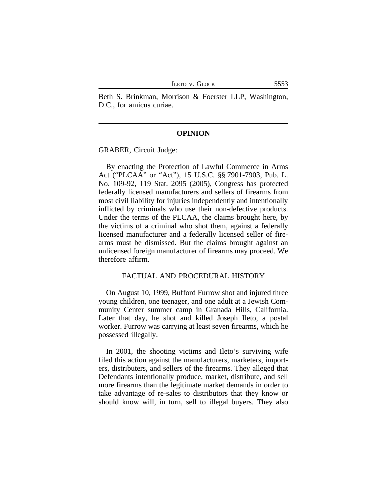Beth S. Brinkman, Morrison & Foerster LLP, Washington, D.C., for amicus curiae.

#### **OPINION**

GRABER, Circuit Judge:

By enacting the Protection of Lawful Commerce in Arms Act ("PLCAA" or "Act"), 15 U.S.C. §§ 7901-7903, Pub. L. No. 109-92, 119 Stat. 2095 (2005), Congress has protected federally licensed manufacturers and sellers of firearms from most civil liability for injuries independently and intentionally inflicted by criminals who use their non-defective products. Under the terms of the PLCAA, the claims brought here, by the victims of a criminal who shot them, against a federally licensed manufacturer and a federally licensed seller of firearms must be dismissed. But the claims brought against an unlicensed foreign manufacturer of firearms may proceed. We therefore affirm.

#### FACTUAL AND PROCEDURAL HISTORY

On August 10, 1999, Bufford Furrow shot and injured three young children, one teenager, and one adult at a Jewish Community Center summer camp in Granada Hills, California. Later that day, he shot and killed Joseph Ileto, a postal worker. Furrow was carrying at least seven firearms, which he possessed illegally.

In 2001, the shooting victims and Ileto's surviving wife filed this action against the manufacturers, marketers, importers, distributers, and sellers of the firearms. They alleged that Defendants intentionally produce, market, distribute, and sell more firearms than the legitimate market demands in order to take advantage of re-sales to distributors that they know or should know will, in turn, sell to illegal buyers. They also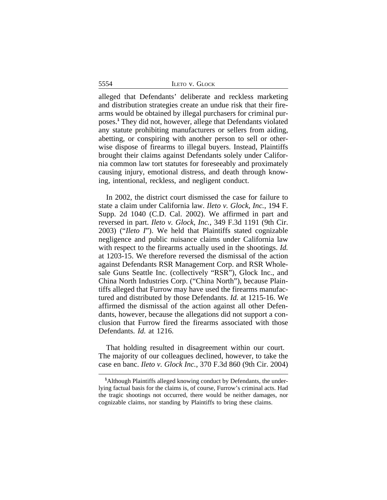5554 ILETO v. GLOCK

alleged that Defendants' deliberate and reckless marketing and distribution strategies create an undue risk that their firearms would be obtained by illegal purchasers for criminal purposes.**<sup>1</sup>** They did not, however, allege that Defendants violated any statute prohibiting manufacturers or sellers from aiding, abetting, or conspiring with another person to sell or otherwise dispose of firearms to illegal buyers. Instead, Plaintiffs brought their claims against Defendants solely under California common law tort statutes for foreseeably and proximately causing injury, emotional distress, and death through knowing, intentional, reckless, and negligent conduct.

In 2002, the district court dismissed the case for failure to state a claim under California law. *Ileto v. Glock, Inc.*, 194 F. Supp. 2d 1040 (C.D. Cal. 2002). We affirmed in part and reversed in part. *Ileto v. Glock, Inc.*, 349 F.3d 1191 (9th Cir. 2003) ("*Ileto I*"). We held that Plaintiffs stated cognizable negligence and public nuisance claims under California law with respect to the firearms actually used in the shootings. *Id.* at 1203-15. We therefore reversed the dismissal of the action against Defendants RSR Management Corp. and RSR Wholesale Guns Seattle Inc. (collectively "RSR"), Glock Inc., and China North Industries Corp. ("China North"), because Plaintiffs alleged that Furrow may have used the firearms manufactured and distributed by those Defendants. *Id.* at 1215-16. We affirmed the dismissal of the action against all other Defendants, however, because the allegations did not support a conclusion that Furrow fired the firearms associated with those Defendants. *Id.* at 1216.

That holding resulted in disagreement within our court. The majority of our colleagues declined, however, to take the case en banc. *Ileto v. Glock Inc.*, 370 F.3d 860 (9th Cir. 2004)

**<sup>1</sup>**Although Plaintiffs alleged knowing conduct by Defendants, the underlying factual basis for the claims is, of course, Furrow's criminal acts. Had the tragic shootings not occurred, there would be neither damages, nor cognizable claims, nor standing by Plaintiffs to bring these claims.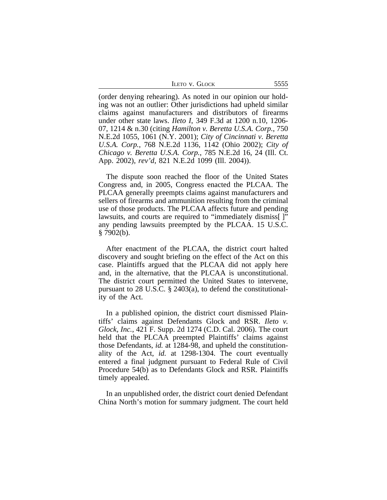| <b>LETO V. GLOCK</b><br>5555 |  |  |
|------------------------------|--|--|
|------------------------------|--|--|

(order denying rehearing). As noted in our opinion our holding was not an outlier: Other jurisdictions had upheld similar claims against manufacturers and distributors of firearms under other state laws. *Ileto I*, 349 F.3d at 1200 n.10, 1206- 07, 1214 & n.30 (citing *Hamilton v. Beretta U.S.A. Corp.*, 750 N.E.2d 1055, 1061 (N.Y. 2001); *City of Cincinnati v. Beretta U.S.A. Corp.*, 768 N.E.2d 1136, 1142 (Ohio 2002); *City of Chicago v. Beretta U.S.A. Corp.*, 785 N.E.2d 16, 24 (Ill. Ct. App. 2002), *rev'd*, 821 N.E.2d 1099 (Ill. 2004)).

The dispute soon reached the floor of the United States Congress and, in 2005, Congress enacted the PLCAA. The PLCAA generally preempts claims against manufacturers and sellers of firearms and ammunition resulting from the criminal use of those products. The PLCAA affects future and pending lawsuits, and courts are required to "immediately dismiss... any pending lawsuits preempted by the PLCAA. 15 U.S.C.  $§ 7902(b).$ 

After enactment of the PLCAA, the district court halted discovery and sought briefing on the effect of the Act on this case. Plaintiffs argued that the PLCAA did not apply here and, in the alternative, that the PLCAA is unconstitutional. The district court permitted the United States to intervene, pursuant to 28 U.S.C. § 2403(a), to defend the constitutionality of the Act.

In a published opinion, the district court dismissed Plaintiffs' claims against Defendants Glock and RSR. *Ileto v. Glock, Inc.*, 421 F. Supp. 2d 1274 (C.D. Cal. 2006). The court held that the PLCAA preempted Plaintiffs' claims against those Defendants, *id.* at 1284-98, and upheld the constitutionality of the Act, *id.* at 1298-1304. The court eventually entered a final judgment pursuant to Federal Rule of Civil Procedure 54(b) as to Defendants Glock and RSR. Plaintiffs timely appealed.

In an unpublished order, the district court denied Defendant China North's motion for summary judgment. The court held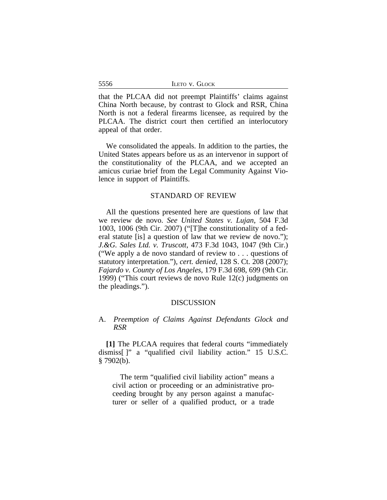|  |  | ILETO V. GLOCK |  |
|--|--|----------------|--|
|--|--|----------------|--|

that the PLCAA did not preempt Plaintiffs' claims against China North because, by contrast to Glock and RSR, China North is not a federal firearms licensee, as required by the PLCAA. The district court then certified an interlocutory appeal of that order.

We consolidated the appeals. In addition to the parties, the United States appears before us as an intervenor in support of the constitutionality of the PLCAA, and we accepted an amicus curiae brief from the Legal Community Against Violence in support of Plaintiffs.

## STANDARD OF REVIEW

All the questions presented here are questions of law that we review de novo. *See United States v. Lujan*, 504 F.3d 1003, 1006 (9th Cir. 2007) ("[T]he constitutionality of a federal statute [is] a question of law that we review de novo."); *J.&G. Sales Ltd. v. Truscott*, 473 F.3d 1043, 1047 (9th Cir.) ("We apply a de novo standard of review to . . . questions of statutory interpretation."), *cert. denied*, 128 S. Ct. 208 (2007); *Fajardo v. County of Los Angeles*, 179 F.3d 698, 699 (9th Cir. 1999) ("This court reviews de novo Rule 12(c) judgments on the pleadings.").

## DISCUSSION

# A. *Preemption of Claims Against Defendants Glock and RSR*

**[1]** The PLCAA requires that federal courts "immediately dismiss[ ]" a "qualified civil liability action." 15 U.S.C.  $§ 7902(b).$ 

The term "qualified civil liability action" means a civil action or proceeding or an administrative proceeding brought by any person against a manufacturer or seller of a qualified product, or a trade

5556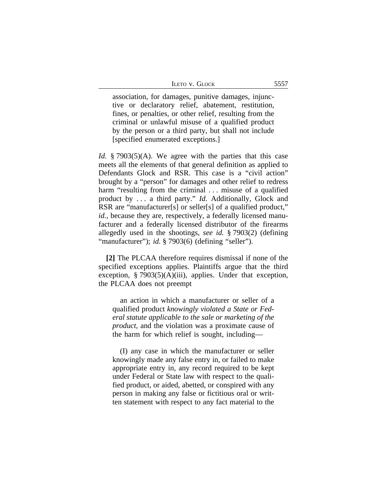association, for damages, punitive damages, injunctive or declaratory relief, abatement, restitution, fines, or penalties, or other relief, resulting from the criminal or unlawful misuse of a qualified product by the person or a third party, but shall not include [specified enumerated exceptions.]

*Id.* § 7903(5)(A). We agree with the parties that this case meets all the elements of that general definition as applied to Defendants Glock and RSR. This case is a "civil action" brought by a "person" for damages and other relief to redress harm "resulting from the criminal ... misuse of a qualified product by . . . a third party." *Id.* Additionally, Glock and RSR are "manufacturer[s] or seller[s] of a qualified product," *id.*, because they are, respectively, a federally licensed manufacturer and a federally licensed distributor of the firearms allegedly used in the shootings, *see id.* § 7903(2) (defining "manufacturer"); *id.* § 7903(6) (defining "seller").

**[2]** The PLCAA therefore requires dismissal if none of the specified exceptions applies. Plaintiffs argue that the third exception,  $\S 7903(5)(A)(iii)$ , applies. Under that exception, the PLCAA does not preempt

an action in which a manufacturer or seller of a qualified product *knowingly violated a State or Federal statute applicable to the sale or marketing of the product*, and the violation was a proximate cause of the harm for which relief is sought, including—

(I) any case in which the manufacturer or seller knowingly made any false entry in, or failed to make appropriate entry in, any record required to be kept under Federal or State law with respect to the qualified product, or aided, abetted, or conspired with any person in making any false or fictitious oral or written statement with respect to any fact material to the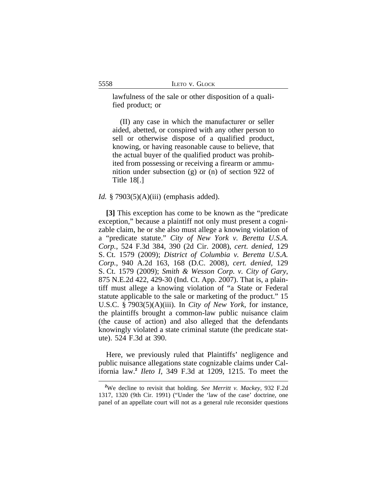lawfulness of the sale or other disposition of a qualified product; or

(II) any case in which the manufacturer or seller aided, abetted, or conspired with any other person to sell or otherwise dispose of a qualified product, knowing, or having reasonable cause to believe, that the actual buyer of the qualified product was prohibited from possessing or receiving a firearm or ammunition under subsection (g) or (n) of section 922 of Title 18[.]

#### *Id.* § 7903(5)(A)(iii) (emphasis added).

**[3]** This exception has come to be known as the "predicate exception," because a plaintiff not only must present a cognizable claim, he or she also must allege a knowing violation of a "predicate statute." *City of New York v. Beretta U.S.A. Corp.*, 524 F.3d 384, 390 (2d Cir. 2008), *cert. denied*, 129 S. Ct. 1579 (2009); *District of Columbia v. Beretta U.S.A. Corp.*, 940 A.2d 163, 168 (D.C. 2008), *cert. denied*, 129 S. Ct. 1579 (2009); *Smith & Wesson Corp. v. City of Gary*, 875 N.E.2d 422, 429-30 (Ind. Ct. App. 2007). That is, a plaintiff must allege a knowing violation of "a State or Federal statute applicable to the sale or marketing of the product." 15 U.S.C. § 7903(5)(A)(iii). In *City of New York*, for instance, the plaintiffs brought a common-law public nuisance claim (the cause of action) and also alleged that the defendants knowingly violated a state criminal statute (the predicate statute). 524 F.3d at 390.

Here, we previously ruled that Plaintiffs' negligence and public nuisance allegations state cognizable claims under California law.**<sup>2</sup>** *Ileto I*, 349 F.3d at 1209, 1215. To meet the

**<sup>2</sup>**We decline to revisit that holding. *See Merritt v. Mackey*, 932 F.2d 1317, 1320 (9th Cir. 1991) ("Under the 'law of the case' doctrine, one panel of an appellate court will not as a general rule reconsider questions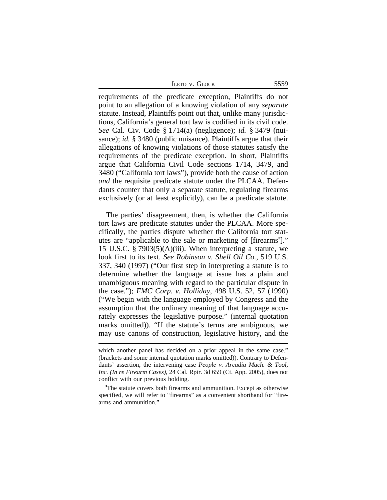|  |  | LETO V. GLOCK |  |
|--|--|---------------|--|
|--|--|---------------|--|

requirements of the predicate exception, Plaintiffs do not point to an allegation of a knowing violation of any *separate* statute. Instead, Plaintiffs point out that, unlike many jurisdictions, California's general tort law is codified in its civil code. *See* Cal. Civ. Code § 1714(a) (negligence); *id.* § 3479 (nuisance); *id.* § 3480 (public nuisance). Plaintiffs argue that their allegations of knowing violations of those statutes satisfy the requirements of the predicate exception. In short, Plaintiffs argue that California Civil Code sections 1714, 3479, and 3480 ("California tort laws"), provide both the cause of action *and* the requisite predicate statute under the PLCAA. Defendants counter that only a separate statute, regulating firearms exclusively (or at least explicitly), can be a predicate statute.

The parties' disagreement, then, is whether the California tort laws are predicate statutes under the PLCAA. More specifically, the parties dispute whether the California tort statutes are "applicable to the sale or marketing of [firearms**<sup>3</sup>** ]." 15 U.S.C. § 7903(5)(A)(iii). When interpreting a statute, we look first to its text. *See Robinson v. Shell Oil Co.*, 519 U.S. 337, 340 (1997) ("Our first step in interpreting a statute is to determine whether the language at issue has a plain and unambiguous meaning with regard to the particular dispute in the case."); *FMC Corp. v. Holliday*, 498 U.S. 52, 57 (1990) ("We begin with the language employed by Congress and the assumption that the ordinary meaning of that language accurately expresses the legislative purpose." (internal quotation marks omitted)). "If the statute's terms are ambiguous, we may use canons of construction, legislative history, and the

5559

which another panel has decided on a prior appeal in the same case." (brackets and some internal quotation marks omitted)). Contrary to Defendants' assertion, the intervening case *People v. Arcadia Mach. & Tool, Inc. (In re Firearm Cases)*, 24 Cal. Rptr. 3d 659 (Ct. App. 2005), does not conflict with our previous holding.

**<sup>3</sup>**The statute covers both firearms and ammunition. Except as otherwise specified, we will refer to "firearms" as a convenient shorthand for "firearms and ammunition."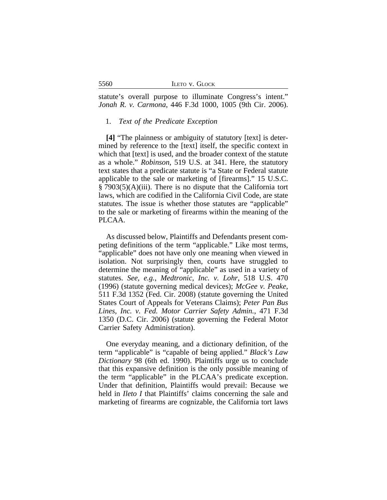|  |  | <b>ILETO V. GLOCK</b> |
|--|--|-----------------------|
|--|--|-----------------------|

statute's overall purpose to illuminate Congress's intent." *Jonah R. v. Carmona*, 446 F.3d 1000, 1005 (9th Cir. 2006).

#### 1. *Text of the Predicate Exception*

**[4]** "The plainness or ambiguity of statutory [text] is determined by reference to the [text] itself, the specific context in which that [text] is used, and the broader context of the statute as a whole." *Robinson*, 519 U.S. at 341. Here, the statutory text states that a predicate statute is "a State or Federal statute applicable to the sale or marketing of [firearms]." 15 U.S.C. § 7903(5)(A)(iii). There is no dispute that the California tort laws, which are codified in the California Civil Code, are state statutes. The issue is whether those statutes are "applicable" to the sale or marketing of firearms within the meaning of the PLCAA.

As discussed below, Plaintiffs and Defendants present competing definitions of the term "applicable." Like most terms, "applicable" does not have only one meaning when viewed in isolation. Not surprisingly then, courts have struggled to determine the meaning of "applicable" as used in a variety of statutes. *See, e.g.*, *Medtronic, Inc. v. Lohr*, 518 U.S. 470 (1996) (statute governing medical devices); *McGee v. Peake*, 511 F.3d 1352 (Fed. Cir. 2008) (statute governing the United States Court of Appeals for Veterans Claims); *Peter Pan Bus Lines, Inc. v. Fed. Motor Carrier Safety Admin.*, 471 F.3d 1350 (D.C. Cir. 2006) (statute governing the Federal Motor Carrier Safety Administration).

One everyday meaning, and a dictionary definition, of the term "applicable" is "capable of being applied." *Black's Law Dictionary* 98 (6th ed. 1990). Plaintiffs urge us to conclude that this expansive definition is the only possible meaning of the term "applicable" in the PLCAA's predicate exception. Under that definition, Plaintiffs would prevail: Because we held in *Ileto I* that Plaintiffs' claims concerning the sale and marketing of firearms are cognizable, the California tort laws

5560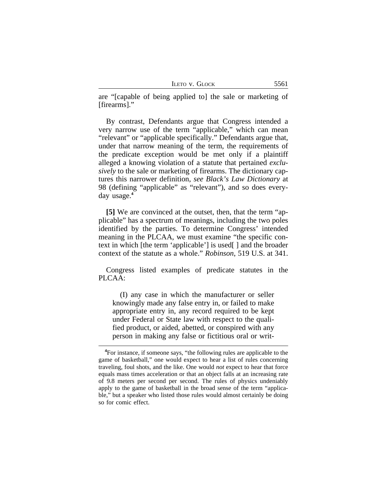|  | LETO V. GLOCK |
|--|---------------|
|  |               |

are "[capable of being applied to] the sale or marketing of [firearms]."

By contrast, Defendants argue that Congress intended a very narrow use of the term "applicable," which can mean "relevant" or "applicable specifically." Defendants argue that, under that narrow meaning of the term, the requirements of the predicate exception would be met only if a plaintiff alleged a knowing violation of a statute that pertained *exclusively* to the sale or marketing of firearms. The dictionary captures this narrower definition, *see Black's Law Dictionary* at 98 (defining "applicable" as "relevant"), and so does everyday usage.**<sup>4</sup>**

**[5]** We are convinced at the outset, then, that the term "applicable" has a spectrum of meanings, including the two poles identified by the parties. To determine Congress' intended meaning in the PLCAA, we must examine "the specific context in which [the term 'applicable'] is used[ ] and the broader context of the statute as a whole." *Robinson*, 519 U.S. at 341.

Congress listed examples of predicate statutes in the PLCAA:

(I) any case in which the manufacturer or seller knowingly made any false entry in, or failed to make appropriate entry in, any record required to be kept under Federal or State law with respect to the qualified product, or aided, abetted, or conspired with any person in making any false or fictitious oral or writ-

**<sup>4</sup>**For instance, if someone says, "the following rules are applicable to the game of basketball," one would expect to hear a list of rules concerning traveling, foul shots, and the like. One would *not* expect to hear that force equals mass times acceleration or that an object falls at an increasing rate of 9.8 meters per second per second. The rules of physics undeniably apply to the game of basketball in the broad sense of the term "applicable," but a speaker who listed those rules would almost certainly be doing so for comic effect.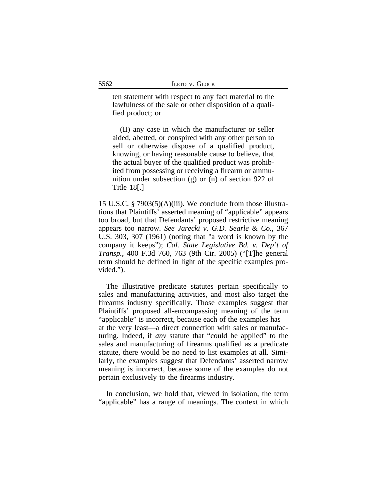ten statement with respect to any fact material to the lawfulness of the sale or other disposition of a qualified product; or

(II) any case in which the manufacturer or seller aided, abetted, or conspired with any other person to sell or otherwise dispose of a qualified product, knowing, or having reasonable cause to believe, that the actual buyer of the qualified product was prohibited from possessing or receiving a firearm or ammunition under subsection (g) or (n) of section 922 of Title 18[.]

15 U.S.C. § 7903(5)(A)(iii). We conclude from those illustrations that Plaintiffs' asserted meaning of "applicable" appears too broad, but that Defendants' proposed restrictive meaning appears too narrow. *See Jarecki v. G.D. Searle & Co.*, 367 U.S. 303, 307 (1961) (noting that "a word is known by the company it keeps"); *Cal. State Legislative Bd. v. Dep't of Transp.*, 400 F.3d 760, 763 (9th Cir. 2005) ("[T]he general term should be defined in light of the specific examples provided.").

The illustrative predicate statutes pertain specifically to sales and manufacturing activities, and most also target the firearms industry specifically. Those examples suggest that Plaintiffs' proposed all-encompassing meaning of the term "applicable" is incorrect, because each of the examples has at the very least—a direct connection with sales or manufacturing. Indeed, if *any* statute that "could be applied" to the sales and manufacturing of firearms qualified as a predicate statute, there would be no need to list examples at all. Similarly, the examples suggest that Defendants' asserted narrow meaning is incorrect, because some of the examples do not pertain exclusively to the firearms industry.

In conclusion, we hold that, viewed in isolation, the term "applicable" has a range of meanings. The context in which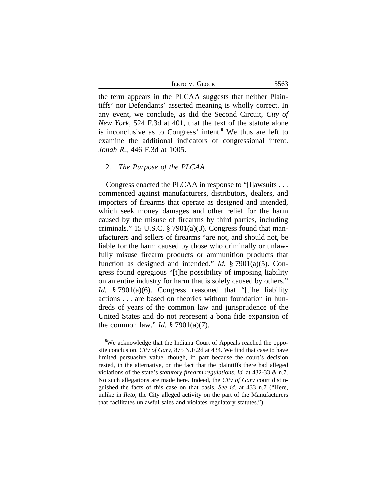ILETO V. GLOCK 5563

the term appears in the PLCAA suggests that neither Plaintiffs' nor Defendants' asserted meaning is wholly correct. In any event, we conclude, as did the Second Circuit, *City of New York*, 524 F.3d at 401, that the text of the statute alone is inconclusive as to Congress' intent.**<sup>5</sup>** We thus are left to examine the additional indicators of congressional intent. *Jonah R.*, 446 F.3d at 1005.

#### 2. *The Purpose of the PLCAA*

Congress enacted the PLCAA in response to "[l]awsuits . . . commenced against manufacturers, distributors, dealers, and importers of firearms that operate as designed and intended, which seek money damages and other relief for the harm caused by the misuse of firearms by third parties, including criminals." 15 U.S.C. § 7901(a)(3). Congress found that manufacturers and sellers of firearms "are not, and should not, be liable for the harm caused by those who criminally or unlawfully misuse firearm products or ammunition products that function as designed and intended." *Id.* § 7901(a)(5). Congress found egregious "[t]he possibility of imposing liability on an entire industry for harm that is solely caused by others." *Id.* § 7901(a)(6). Congress reasoned that "[t]he liability actions . . . are based on theories without foundation in hundreds of years of the common law and jurisprudence of the United States and do not represent a bona fide expansion of the common law." *Id.* § 7901(a)(7).

**<sup>5</sup>**We acknowledge that the Indiana Court of Appeals reached the opposite conclusion. *City of Gary*, 875 N.E.2d at 434. We find that case to have limited persuasive value, though, in part because the court's decision rested, in the alternative, on the fact that the plaintiffs there had alleged violations of the state's *statutory firearm regulations*. *Id.* at 432-33 & n.7. No such allegations are made here. Indeed, the *City of Gary* court distinguished the facts of this case on that basis. *See id.* at 433 n.7 ("Here, unlike in *Ileto*, the City alleged activity on the part of the Manufacturers that facilitates unlawful sales and violates regulatory statutes.").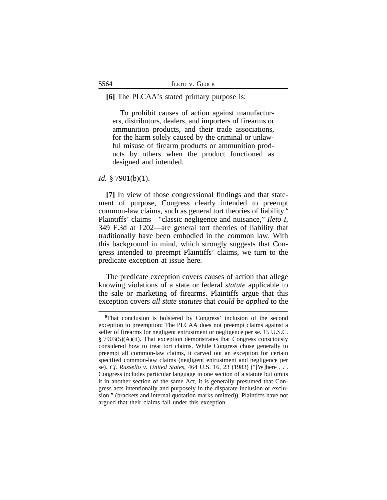#### **[6]** The PLCAA's stated primary purpose is:

To prohibit causes of action against manufacturers, distributors, dealers, and importers of firearms or ammunition products, and their trade associations, for the harm solely caused by the criminal or unlawful misuse of firearm products or ammunition products by others when the product functioned as designed and intended.

#### *Id.* § 7901(b)(1).

**[7]** In view of those congressional findings and that statement of purpose, Congress clearly intended to preempt common-law claims, such as general tort theories of liability.**<sup>6</sup>** Plaintiffs' claims—"classic negligence and nuisance," *Ileto I*, 349 F.3d at 1202—are general tort theories of liability that traditionally have been embodied in the common law. With this background in mind, which strongly suggests that Congress intended to preempt Plaintiffs' claims, we turn to the predicate exception at issue here.

The predicate exception covers causes of action that allege knowing violations of a state or federal *statute* applicable to the sale or marketing of firearms. Plaintiffs argue that this exception covers *all state statutes* that *could be applied* to the

**<sup>6</sup>**That conclusion is bolstered by Congress' inclusion of the second exception to preemption: The PLCAA does not preempt claims against a seller of firearms for negligent entrustment or negligence per se. 15 U.S.C. § 7903(5)(A)(ii). That exception demonstrates that Congress consciously considered how to treat tort claims. While Congress chose generally to preempt all common-law claims, it carved out an exception for certain specified common-law claims (negligent entrustment and negligence per se). *Cf. Russello v. United States*, 464 U.S. 16, 23 (1983) ("[W]here . . . Congress includes particular language in one section of a statute but omits it in another section of the same Act, it is generally presumed that Congress acts intentionally and purposely in the disparate inclusion or exclusion." (brackets and internal quotation marks omitted)). Plaintiffs have not argued that their claims fall under this exception.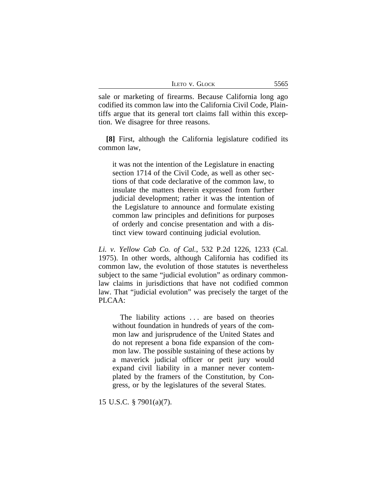|  |  | LETO V. GLOCK |
|--|--|---------------|
|--|--|---------------|

sale or marketing of firearms. Because California long ago codified its common law into the California Civil Code, Plaintiffs argue that its general tort claims fall within this exception. We disagree for three reasons.

**[8]** First, although the California legislature codified its common law,

it was not the intention of the Legislature in enacting section 1714 of the Civil Code, as well as other sections of that code declarative of the common law, to insulate the matters therein expressed from further judicial development; rather it was the intention of the Legislature to announce and formulate existing common law principles and definitions for purposes of orderly and concise presentation and with a distinct view toward continuing judicial evolution.

*Li. v. Yellow Cab Co. of Cal.*, 532 P.2d 1226, 1233 (Cal. 1975). In other words, although California has codified its common law, the evolution of those statutes is nevertheless subject to the same "judicial evolution" as ordinary commonlaw claims in jurisdictions that have not codified common law. That "judicial evolution" was precisely the target of the PLCAA:

The liability actions ... are based on theories without foundation in hundreds of years of the common law and jurisprudence of the United States and do not represent a bona fide expansion of the common law. The possible sustaining of these actions by a maverick judicial officer or petit jury would expand civil liability in a manner never contemplated by the framers of the Constitution, by Congress, or by the legislatures of the several States.

15 U.S.C. § 7901(a)(7).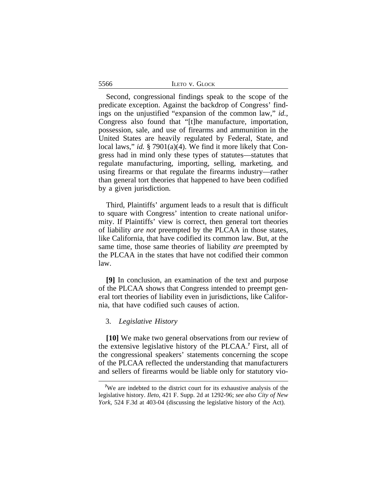|  | LETO V. GLOCK |
|--|---------------|
|  |               |

Second, congressional findings speak to the scope of the predicate exception. Against the backdrop of Congress' findings on the unjustified "expansion of the common law," *id.*, Congress also found that "[t]he manufacture, importation, possession, sale, and use of firearms and ammunition in the United States are heavily regulated by Federal, State, and local laws," *id.* § 7901(a)(4). We find it more likely that Congress had in mind only these types of statutes—statutes that regulate manufacturing, importing, selling, marketing, and using firearms or that regulate the firearms industry—rather than general tort theories that happened to have been codified by a given jurisdiction.

Third, Plaintiffs' argument leads to a result that is difficult to square with Congress' intention to create national uniformity. If Plaintiffs' view is correct, then general tort theories of liability *are not* preempted by the PLCAA in those states, like California, that have codified its common law. But, at the same time, those same theories of liability *are* preempted by the PLCAA in the states that have not codified their common law.

**[9]** In conclusion, an examination of the text and purpose of the PLCAA shows that Congress intended to preempt general tort theories of liability even in jurisdictions, like California, that have codified such causes of action.

#### 3. *Legislative History*

**[10]** We make two general observations from our review of the extensive legislative history of the PLCAA.**<sup>7</sup>** First, all of the congressional speakers' statements concerning the scope of the PLCAA reflected the understanding that manufacturers and sellers of firearms would be liable only for statutory vio-

5566

**<sup>7</sup>**We are indebted to the district court for its exhaustive analysis of the legislative history. *Ileto*, 421 F. Supp. 2d at 1292-96; *see also City of New York*, 524 F.3d at 403-04 (discussing the legislative history of the Act).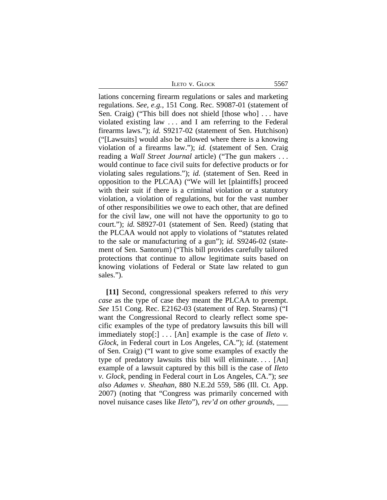ILETO V. GLOCK 5567

lations concerning firearm regulations or sales and marketing regulations. *See, e.g.*, 151 Cong. Rec. S9087-01 (statement of Sen. Craig) ("This bill does not shield [those who] . . . have violated existing law . . . and I am referring to the Federal firearms laws."); *id.* S9217-02 (statement of Sen. Hutchison) ("[Lawsuits] would also be allowed where there is a knowing violation of a firearms law."); *id.* (statement of Sen. Craig reading a *Wall Street Journal* article) ("The gun makers . . . would continue to face civil suits for defective products or for violating sales regulations."); *id.* (statement of Sen. Reed in opposition to the PLCAA) ("We will let [plaintiffs] proceed with their suit if there is a criminal violation or a statutory violation, a violation of regulations, but for the vast number of other responsibilities we owe to each other, that are defined for the civil law, one will not have the opportunity to go to court."); *id.* S8927-01 (statement of Sen. Reed) (stating that the PLCAA would not apply to violations of "statutes related to the sale or manufacturing of a gun"); *id.* S9246-02 (statement of Sen. Santorum) ("This bill provides carefully tailored protections that continue to allow legitimate suits based on knowing violations of Federal or State law related to gun sales.").

**[11]** Second, congressional speakers referred to *this very case* as the type of case they meant the PLCAA to preempt. *See* 151 Cong. Rec. E2162-03 (statement of Rep. Stearns) ("I want the Congressional Record to clearly reflect some specific examples of the type of predatory lawsuits this bill will immediately stop[:] . . . [An] example is the case of *Ileto v. Glock*, in Federal court in Los Angeles, CA."); *id.* (statement of Sen. Craig) ("I want to give some examples of exactly the type of predatory lawsuits this bill will eliminate. . . . [An] example of a lawsuit captured by this bill is the case of *Ileto v. Glock*, pending in Federal court in Los Angeles, CA."); *see also Adames v. Sheahan*, 880 N.E.2d 559, 586 (Ill. Ct. App. 2007) (noting that "Congress was primarily concerned with novel nuisance cases like *Ileto*"), *rev'd on other grounds*, \_\_\_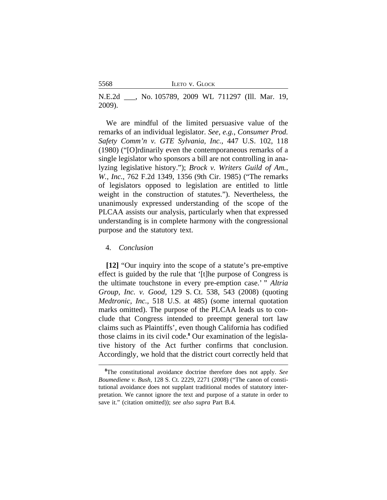5568 ILETO v. GLOCK

N.E.2d \_\_\_, No. 105789, 2009 WL 711297 (Ill. Mar. 19, 2009).

We are mindful of the limited persuasive value of the remarks of an individual legislator. *See, e.g.*, *Consumer Prod. Safety Comm'n v. GTE Sylvania, Inc.*, 447 U.S. 102, 118 (1980) ("[O]rdinarily even the contemporaneous remarks of a single legislator who sponsors a bill are not controlling in analyzing legislative history."); *Brock v. Writers Guild of Am., W., Inc.*, 762 F.2d 1349, 1356 (9th Cir. 1985) ("The remarks of legislators opposed to legislation are entitled to little weight in the construction of statutes."). Nevertheless, the unanimously expressed understanding of the scope of the PLCAA assists our analysis, particularly when that expressed understanding is in complete harmony with the congressional purpose and the statutory text.

## 4. *Conclusion*

**[12]** "Our inquiry into the scope of a statute's pre-emptive effect is guided by the rule that '[t]he purpose of Congress is the ultimate touchstone in every pre-emption case.' " *Altria Group, Inc. v. Good*, 129 S. Ct. 538, 543 (2008) (quoting *Medtronic, Inc.*, 518 U.S. at 485) (some internal quotation marks omitted). The purpose of the PLCAA leads us to conclude that Congress intended to preempt general tort law claims such as Plaintiffs', even though California has codified those claims in its civil code.**<sup>8</sup>** Our examination of the legislative history of the Act further confirms that conclusion. Accordingly, we hold that the district court correctly held that

**<sup>8</sup>**The constitutional avoidance doctrine therefore does not apply. *See Boumediene v. Bush*, 128 S. Ct. 2229, 2271 (2008) ("The canon of constitutional avoidance does not supplant traditional modes of statutory interpretation. We cannot ignore the text and purpose of a statute in order to save it." (citation omitted)); *see also supra* Part B.4.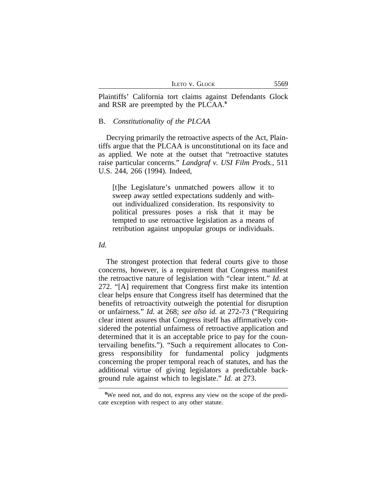|  |  | LETO V. GLOCK |
|--|--|---------------|
|--|--|---------------|

Plaintiffs' California tort claims against Defendants Glock and RSR are preempted by the PLCAA.**<sup>9</sup>**

## B. *Constitutionality of the PLCAA*

Decrying primarily the retroactive aspects of the Act, Plaintiffs argue that the PLCAA is unconstitutional on its face and as applied. We note at the outset that "retroactive statutes raise particular concerns." *Landgraf v. USI Film Prods.*, 511 U.S. 244, 266 (1994). Indeed,

[t]he Legislature's unmatched powers allow it to sweep away settled expectations suddenly and without individualized consideration. Its responsivity to political pressures poses a risk that it may be tempted to use retroactive legislation as a means of retribution against unpopular groups or individuals.

#### *Id.*

The strongest protection that federal courts give to those concerns, however, is a requirement that Congress manifest the retroactive nature of legislation with "clear intent." *Id.* at 272. "[A] requirement that Congress first make its intention clear helps ensure that Congress itself has determined that the benefits of retroactivity outweigh the potential for disruption or unfairness." *Id.* at 268; *see also id.* at 272-73 ("Requiring clear intent assures that Congress itself has affirmatively considered the potential unfairness of retroactive application and determined that it is an acceptable price to pay for the countervailing benefits."). "Such a requirement allocates to Congress responsibility for fundamental policy judgments concerning the proper temporal reach of statutes, and has the additional virtue of giving legislators a predictable background rule against which to legislate." *Id.* at 273.

<sup>&</sup>lt;sup>9</sup>We need not, and do not, express any view on the scope of the predicate exception with respect to any other statute.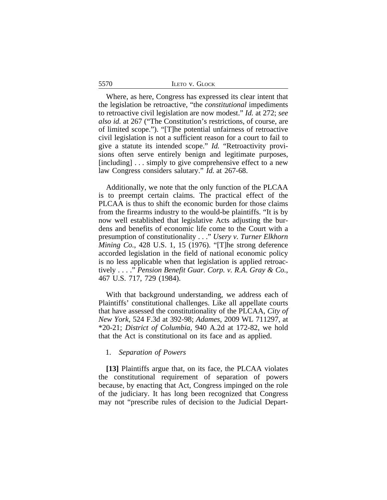|  |  |  | LETO V. GLOCK |
|--|--|--|---------------|
|--|--|--|---------------|

Where, as here, Congress has expressed its clear intent that the legislation be retroactive, "the *constitutional* impediments to retroactive civil legislation are now modest." *Id.* at 272; *see also id.* at 267 ("The Constitution's restrictions, of course, are of limited scope."). "[T]he potential unfairness of retroactive civil legislation is not a sufficient reason for a court to fail to give a statute its intended scope." *Id.* "Retroactivity provisions often serve entirely benign and legitimate purposes, [including] ... simply to give comprehensive effect to a new law Congress considers salutary." *Id.* at 267-68.

Additionally, we note that the only function of the PLCAA is to preempt certain claims. The practical effect of the PLCAA is thus to shift the economic burden for those claims from the firearms industry to the would-be plaintiffs. "It is by now well established that legislative Acts adjusting the burdens and benefits of economic life come to the Court with a presumption of constitutionality . . ." *Usery v. Turner Elkhorn Mining Co.*, 428 U.S. 1, 15 (1976). "[T]he strong deference accorded legislation in the field of national economic policy is no less applicable when that legislation is applied retroactively . . . ." *Pension Benefit Guar. Corp. v. R.A. Gray & Co.*, 467 U.S. 717, 729 (1984).

With that background understanding, we address each of Plaintiffs' constitutional challenges. Like all appellate courts that have assessed the constitutionality of the PLCAA, *City of New York*, 524 F.3d at 392-98; *Adames*, 2009 WL 711297, at \*20-21; *District of Columbia*, 940 A.2d at 172-82, we hold that the Act is constitutional on its face and as applied.

#### 1. *Separation of Powers*

**[13]** Plaintiffs argue that, on its face, the PLCAA violates the constitutional requirement of separation of powers because, by enacting that Act, Congress impinged on the role of the judiciary. It has long been recognized that Congress may not "prescribe rules of decision to the Judicial Depart-

5570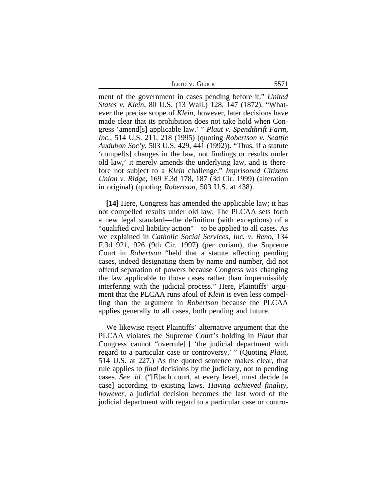|  | Ileto v. Glock |  |
|--|----------------|--|
|  |                |  |

ment of the government in cases pending before it." *United States v. Klein*, 80 U.S. (13 Wall.) 128, 147 (1872). "Whatever the precise scope of *Klein*, however, later decisions have made clear that its prohibition does not take hold when Congress 'amend[s] applicable law.' " *Plaut v. Spendthrift Farm, Inc.*, 514 U.S. 211, 218 (1995) (quoting *Robertson v. Seattle Audubon Soc'y*, 503 U.S. 429, 441 (1992)). "Thus, if a statute 'compel[s] changes in the law, not findings or results under old law,' it merely amends the underlying law, and is therefore not subject to a *Klein* challenge." *Imprisoned Citizens Union v. Ridge*, 169 F.3d 178, 187 (3d Cir. 1999) (alteration in original) (quoting *Robertson*, 503 U.S. at 438).

**[14]** Here, Congress has amended the applicable law; it has not compelled results under old law. The PLCAA sets forth a new legal standard—the definition (with exceptions) of a "qualified civil liability action"—to be applied to all cases. As we explained in *Catholic Social Services, Inc. v. Reno*, 134 F.3d 921, 926 (9th Cir. 1997) (per curiam), the Supreme Court in *Robertson* "held that a statute affecting pending cases, indeed designating them by name and number, did not offend separation of powers because Congress was changing the law applicable to those cases rather than impermissibly interfering with the judicial process." Here, Plaintiffs' argument that the PLCAA runs afoul of *Klein* is even less compelling than the argument in *Robertson* because the PLCAA applies generally to all cases, both pending and future.

We likewise reject Plaintiffs' alternative argument that the PLCAA violates the Supreme Court's holding in *Plaut* that Congress cannot "overrule[ ] 'the judicial department with regard to a particular case or controversy.' " (Quoting *Plaut*, 514 U.S. at 227.) As the quoted sentence makes clear, that rule applies to *final* decisions by the judiciary, not to pending cases. *See id.* ("[E]ach court, at every level, must decide [a case] according to existing laws. *Having achieved finality, however*, a judicial decision becomes the last word of the judicial department with regard to a particular case or contro-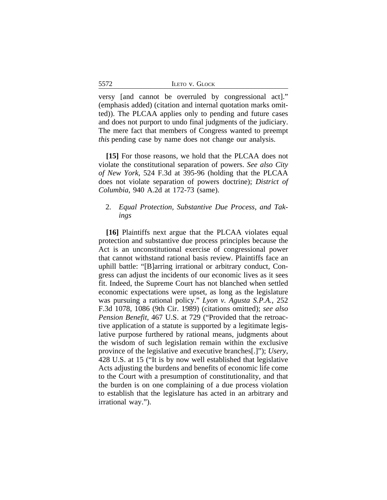5572

versy [and cannot be overruled by congressional act]." (emphasis added) (citation and internal quotation marks omitted)). The PLCAA applies only to pending and future cases and does not purport to undo final judgments of the judiciary. The mere fact that members of Congress wanted to preempt *this* pending case by name does not change our analysis.

**[15]** For those reasons, we hold that the PLCAA does not violate the constitutional separation of powers. *See also City of New York*, 524 F.3d at 395-96 (holding that the PLCAA does not violate separation of powers doctrine); *District of Columbia*, 940 A.2d at 172-73 (same).

# 2. *Equal Protection, Substantive Due Process, and Takings*

**[16]** Plaintiffs next argue that the PLCAA violates equal protection and substantive due process principles because the Act is an unconstitutional exercise of congressional power that cannot withstand rational basis review. Plaintiffs face an uphill battle: "[B]arring irrational or arbitrary conduct, Congress can adjust the incidents of our economic lives as it sees fit. Indeed, the Supreme Court has not blanched when settled economic expectations were upset, as long as the legislature was pursuing a rational policy." *Lyon v. Agusta S.P.A.*, 252 F.3d 1078, 1086 (9th Cir. 1989) (citations omitted); *see also Pension Benefit*, 467 U.S. at 729 ("Provided that the retroactive application of a statute is supported by a legitimate legislative purpose furthered by rational means, judgments about the wisdom of such legislation remain within the exclusive province of the legislative and executive branches[.]"); *Usery*, 428 U.S. at 15 ("It is by now well established that legislative Acts adjusting the burdens and benefits of economic life come to the Court with a presumption of constitutionality, and that the burden is on one complaining of a due process violation to establish that the legislature has acted in an arbitrary and irrational way.").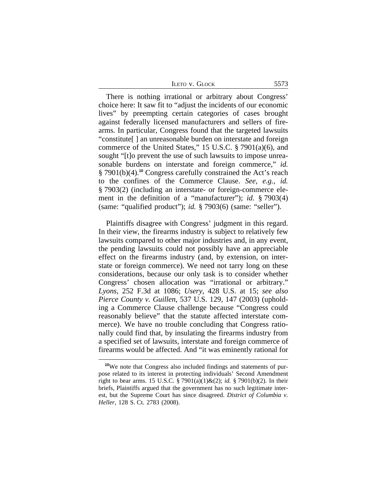| <b>ILETO V. GLOCK</b> | 5573 |
|-----------------------|------|
|-----------------------|------|

There is nothing irrational or arbitrary about Congress' choice here: It saw fit to "adjust the incidents of our economic lives" by preempting certain categories of cases brought against federally licensed manufacturers and sellers of firearms. In particular, Congress found that the targeted lawsuits "constitute[ ] an unreasonable burden on interstate and foreign commerce of the United States," 15 U.S.C. § 7901(a)(6), and sought "[t]o prevent the use of such lawsuits to impose unreasonable burdens on interstate and foreign commerce," *id.* § 7901(b)(4).**<sup>10</sup>** Congress carefully constrained the Act's reach to the confines of the Commerce Clause. *See, e.g.*, *id.* § 7903(2) (including an interstate- or foreign-commerce element in the definition of a "manufacturer"); *id.* § 7903(4) (same: "qualified product"); *id.* § 7903(6) (same: "seller").

Plaintiffs disagree with Congress' judgment in this regard. In their view, the firearms industry is subject to relatively few lawsuits compared to other major industries and, in any event, the pending lawsuits could not possibly have an appreciable effect on the firearms industry (and, by extension, on interstate or foreign commerce). We need not tarry long on these considerations, because our only task is to consider whether Congress' chosen allocation was "irrational or arbitrary." *Lyons*, 252 F.3d at 1086; *Usery*, 428 U.S. at 15; *see also Pierce County v. Guillen*, 537 U.S. 129, 147 (2003) (upholding a Commerce Clause challenge because "Congress could reasonably believe" that the statute affected interstate commerce). We have no trouble concluding that Congress rationally could find that, by insulating the firearms industry from a specified set of lawsuits, interstate and foreign commerce of firearms would be affected. And "it was eminently rational for

**<sup>10</sup>**We note that Congress also included findings and statements of purpose related to its interest in protecting individuals' Second Amendment right to bear arms. 15 U.S.C. § 7901(a)(1)&(2); *id.* § 7901(b)(2). In their briefs, Plaintiffs argued that the government has no such legitimate interest, but the Supreme Court has since disagreed. *District of Columbia v. Heller*, 128 S. Ct. 2783 (2008).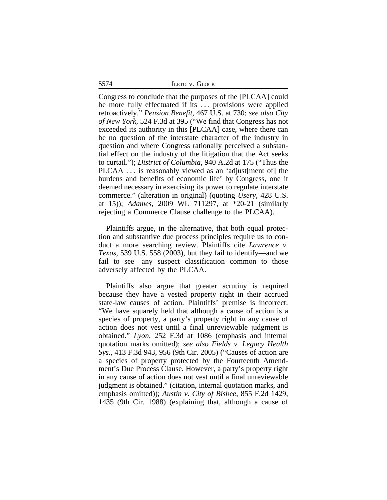5574 ILETO v. GLOCK

Congress to conclude that the purposes of the [PLCAA] could be more fully effectuated if its ... provisions were applied retroactively." *Pension Benefit*, 467 U.S. at 730; *see also City of New York*, 524 F.3d at 395 ("We find that Congress has not exceeded its authority in this [PLCAA] case, where there can be no question of the interstate character of the industry in question and where Congress rationally perceived a substantial effect on the industry of the litigation that the Act seeks to curtail."); *District of Columbia*, 940 A.2d at 175 ("Thus the PLCAA . . . is reasonably viewed as an 'adjust[ment of] the burdens and benefits of economic life' by Congress, one it deemed necessary in exercising its power to regulate interstate commerce." (alteration in original) (quoting *Usery*, 428 U.S. at 15)); *Adames*, 2009 WL 711297, at \*20-21 (similarly rejecting a Commerce Clause challenge to the PLCAA).

Plaintiffs argue, in the alternative, that both equal protection and substantive due process principles require us to conduct a more searching review. Plaintiffs cite *Lawrence v. Texas*, 539 U.S. 558 (2003), but they fail to identify—and we fail to see—any suspect classification common to those adversely affected by the PLCAA.

Plaintiffs also argue that greater scrutiny is required because they have a vested property right in their accrued state-law causes of action. Plaintiffs' premise is incorrect: "We have squarely held that although a cause of action is a species of property, a party's property right in any cause of action does not vest until a final unreviewable judgment is obtained." *Lyon*, 252 F.3d at 1086 (emphasis and internal quotation marks omitted); *see also Fields v. Legacy Health Sys.*, 413 F.3d 943, 956 (9th Cir. 2005) ("Causes of action are a species of property protected by the Fourteenth Amendment's Due Process Clause. However, a party's property right in any cause of action does not vest until a final unreviewable judgment is obtained." (citation, internal quotation marks, and emphasis omitted)); *Austin v. City of Bisbee*, 855 F.2d 1429, 1435 (9th Cir. 1988) (explaining that, although a cause of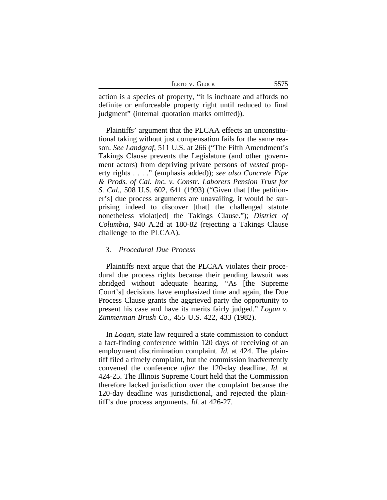| LETO V. GLOCK | 5575 |
|---------------|------|
|---------------|------|

action is a species of property, "it is inchoate and affords no definite or enforceable property right until reduced to final judgment" (internal quotation marks omitted)).

Plaintiffs' argument that the PLCAA effects an unconstitutional taking without just compensation fails for the same reason. *See Landgraf*, 511 U.S. at 266 ("The Fifth Amendment's Takings Clause prevents the Legislature (and other government actors) from depriving private persons of *vested* property rights . . . ." (emphasis added)); *see also Concrete Pipe & Prods. of Cal. Inc. v. Constr. Laborers Pension Trust for S. Cal.*, 508 U.S. 602, 641 (1993) ("Given that [the petitioner's] due process arguments are unavailing, it would be surprising indeed to discover [that] the challenged statute nonetheless violat[ed] the Takings Clause."); *District of Columbia*, 940 A.2d at 180-82 (rejecting a Takings Clause challenge to the PLCAA).

## 3. *Procedural Due Process*

Plaintiffs next argue that the PLCAA violates their procedural due process rights because their pending lawsuit was abridged without adequate hearing. "As [the Supreme Court's] decisions have emphasized time and again, the Due Process Clause grants the aggrieved party the opportunity to present his case and have its merits fairly judged." *Logan v. Zimmerman Brush Co.*, 455 U.S. 422, 433 (1982).

In *Logan*, state law required a state commission to conduct a fact-finding conference within 120 days of receiving of an employment discrimination complaint. *Id.* at 424. The plaintiff filed a timely complaint, but the commission inadvertently convened the conference *after* the 120-day deadline. *Id.* at 424-25. The Illinois Supreme Court held that the Commission therefore lacked jurisdiction over the complaint because the 120-day deadline was jurisdictional, and rejected the plaintiff's due process arguments. *Id.* at 426-27.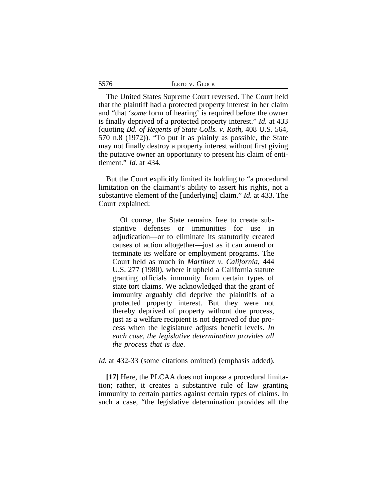| LETO V. GLOCK |  |
|---------------|--|
|---------------|--|

The United States Supreme Court reversed. The Court held that the plaintiff had a protected property interest in her claim and "that '*some* form of hearing' is required before the owner is finally deprived of a protected property interest." *Id.* at 433 (quoting *Bd. of Regents of State Colls. v. Roth*, 408 U.S. 564, 570 n.8 (1972)). "To put it as plainly as possible, the State may not finally destroy a property interest without first giving the putative owner an opportunity to present his claim of entitlement." *Id.* at 434.

But the Court explicitly limited its holding to "a procedural limitation on the claimant's ability to assert his rights, not a substantive element of the [underlying] claim." *Id.* at 433. The Court explained:

Of course, the State remains free to create substantive defenses or immunities for use in adjudication—or to eliminate its statutorily created causes of action altogether—just as it can amend or terminate its welfare or employment programs. The Court held as much in *Martinez v. California*, 444 U.S. 277 (1980), where it upheld a California statute granting officials immunity from certain types of state tort claims. We acknowledged that the grant of immunity arguably did deprive the plaintiffs of a protected property interest. But they were not thereby deprived of property without due process, just as a welfare recipient is not deprived of due process when the legislature adjusts benefit levels. *In each case, the legislative determination provides all the process that is due*.

*Id.* at 432-33 (some citations omitted) (emphasis added).

**[17]** Here, the PLCAA does not impose a procedural limitation; rather, it creates a substantive rule of law granting immunity to certain parties against certain types of claims. In such a case, "the legislative determination provides all the

5576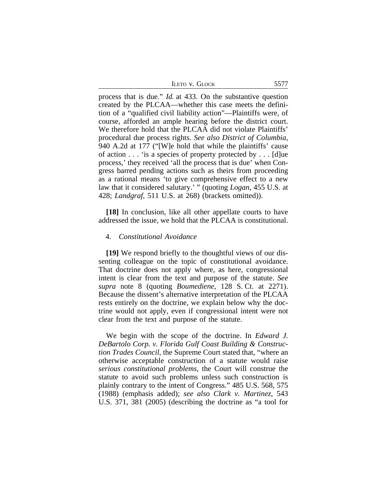| LETO V. GLOCK | 5577 |
|---------------|------|
|---------------|------|

process that is due." *Id.* at 433. On the substantive question created by the PLCAA—whether this case meets the definition of a "qualified civil liability action"—Plaintiffs were, of course, afforded an ample hearing before the district court. We therefore hold that the PLCAA did not violate Plaintiffs' procedural due process rights. *See also District of Columbia*, 940 A.2d at 177 ("[W]e hold that while the plaintiffs' cause of action . . . 'is a species of property protected by . . . [d]ue process,' they received 'all the process that is due' when Congress barred pending actions such as theirs from proceeding as a rational means 'to give comprehensive effect to a new law that it considered salutary.' " (quoting *Logan*, 455 U.S. at 428; *Landgraf*, 511 U.S. at 268) (brackets omitted)).

**[18]** In conclusion, like all other appellate courts to have addressed the issue, we hold that the PLCAA is constitutional.

#### 4. *Constitutional Avoidance*

**[19]** We respond briefly to the thoughtful views of our dissenting colleague on the topic of constitutional avoidance. That doctrine does not apply where, as here, congressional intent is clear from the text and purpose of the statute. *See supra* note 8 (quoting *Boumediene*, 128 S. Ct. at 2271). Because the dissent's alternative interpretation of the PLCAA rests entirely on the doctrine, we explain below why the doctrine would not apply, even if congressional intent were not clear from the text and purpose of the statute.

We begin with the scope of the doctrine. In *Edward J. DeBartolo Corp. v. Florida Gulf Coast Building & Construction Trades Council*, the Supreme Court stated that, "where an otherwise acceptable construction of a statute would raise *serious constitutional problems*, the Court will construe the statute to avoid such problems unless such construction is plainly contrary to the intent of Congress." 485 U.S. 568, 575 (1988) (emphasis added); *see also Clark v. Martinez*, 543 U.S. 371, 381 (2005) (describing the doctrine as "a tool for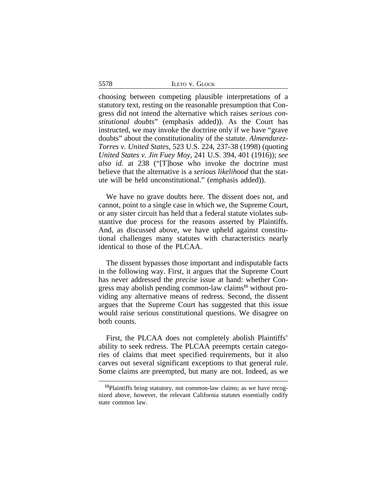5578 ILETO v. GLOCK

choosing between competing plausible interpretations of a statutory text, resting on the reasonable presumption that Congress did not intend the alternative which raises *serious constitutional doubts*" (emphasis added)). As the Court has instructed, we may invoke the doctrine only if we have "grave doubts" about the constitutionality of the statute. *Almendarez-Torres v. United States*, 523 U.S. 224, 237-38 (1998) (quoting *United States v. Jin Fuey Moy*, 241 U.S. 394, 401 (1916)); *see also id.* at 238 ("[T]hose who invoke the doctrine must believe that the alternative is a *serious likelihood* that the statute will be held unconstitutional." (emphasis added)).

We have no grave doubts here. The dissent does not, and cannot, point to a single case in which we, the Supreme Court, or any sister circuit has held that a federal statute violates substantive due process for the reasons asserted by Plaintiffs. And, as discussed above, we have upheld against constitutional challenges many statutes with characteristics nearly identical to those of the PLCAA.

The dissent bypasses those important and indisputable facts in the following way. First, it argues that the Supreme Court has never addressed the *precise* issue at hand: whether Congress may abolish pending common-law claims**11** without providing any alternative means of redress. Second, the dissent argues that the Supreme Court has suggested that this issue would raise serious constitutional questions. We disagree on both counts.

First, the PLCAA does not completely abolish Plaintiffs' ability to seek redress. The PLCAA preempts certain categories of claims that meet specified requirements, but it also carves out several significant exceptions to that general rule. Some claims are preempted, but many are not. Indeed, as we

**<sup>11</sup>**Plaintiffs bring statutory, not common-law claims; as we have recognized above, however, the relevant California statutes essentially codify state common law.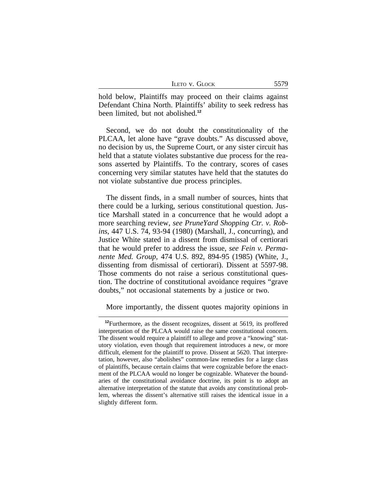| <b>LETO V. GLOCK</b> | 5579 |
|----------------------|------|
|----------------------|------|

hold below, Plaintiffs may proceed on their claims against Defendant China North. Plaintiffs' ability to seek redress has been limited, but not abolished.**<sup>12</sup>**

Second, we do not doubt the constitutionality of the PLCAA, let alone have "grave doubts." As discussed above, no decision by us, the Supreme Court, or any sister circuit has held that a statute violates substantive due process for the reasons asserted by Plaintiffs. To the contrary, scores of cases concerning very similar statutes have held that the statutes do not violate substantive due process principles.

The dissent finds, in a small number of sources, hints that there could be a lurking, serious constitutional question. Justice Marshall stated in a concurrence that he would adopt a more searching review, *see PruneYard Shopping Ctr. v. Robins*, 447 U.S. 74, 93-94 (1980) (Marshall, J., concurring), and Justice White stated in a dissent from dismissal of certiorari that he would prefer to address the issue, *see Fein v. Permanente Med. Group*, 474 U.S. 892, 894-95 (1985) (White, J., dissenting from dismissal of certiorari). Dissent at 5597-98. Those comments do not raise a serious constitutional question. The doctrine of constitutional avoidance requires "grave doubts," not occasional statements by a justice or two.

More importantly, the dissent quotes majority opinions in

**<sup>12</sup>**Furthermore, as the dissent recognizes, dissent at 5619, its proffered interpretation of the PLCAA would raise the same constitutional concern. The dissent would require a plaintiff to allege and prove a "knowing" statutory violation, even though that requirement introduces a new, or more difficult, element for the plaintiff to prove. Dissent at 5620. That interpretation, however, also "abolishes" common-law remedies for a large class of plaintiffs, because certain claims that were cognizable before the enactment of the PLCAA would no longer be cognizable. Whatever the boundaries of the constitutional avoidance doctrine, its point is to adopt an alternative interpretation of the statute that avoids any constitutional problem, whereas the dissent's alternative still raises the identical issue in a slightly different form.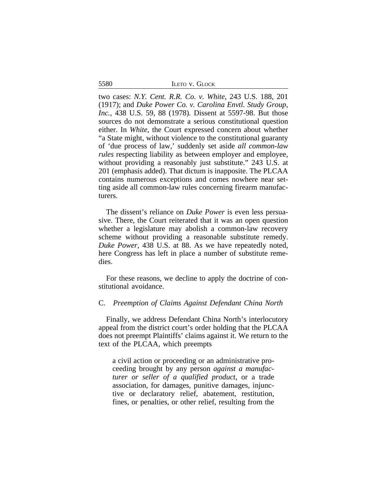5580 ILETO v. GLOCK

two cases: *N.Y. Cent. R.R. Co. v. White*, 243 U.S. 188, 201 (1917); and *Duke Power Co. v. Carolina Envtl. Study Group, Inc.*, 438 U.S. 59, 88 (1978). Dissent at 5597-98. But those sources do not demonstrate a serious constitutional question either. In *White*, the Court expressed concern about whether "a State might, without violence to the constitutional guaranty of 'due process of law,' suddenly set aside *all common-law rules* respecting liability as between employer and employee, without providing a reasonably just substitute." 243 U.S. at 201 (emphasis added). That dictum is inapposite. The PLCAA contains numerous exceptions and comes nowhere near setting aside all common-law rules concerning firearm manufacturers.

The dissent's reliance on *Duke Power* is even less persuasive. There, the Court reiterated that it was an open question whether a legislature may abolish a common-law recovery scheme without providing a reasonable substitute remedy. *Duke Power*, 438 U.S. at 88. As we have repeatedly noted, here Congress has left in place a number of substitute remedies.

For these reasons, we decline to apply the doctrine of constitutional avoidance.

## C. *Preemption of Claims Against Defendant China North*

Finally, we address Defendant China North's interlocutory appeal from the district court's order holding that the PLCAA does not preempt Plaintiffs' claims against it. We return to the text of the PLCAA, which preempts

a civil action or proceeding or an administrative proceeding brought by any person *against a manufacturer or seller of a qualified product*, or a trade association, for damages, punitive damages, injunctive or declaratory relief, abatement, restitution, fines, or penalties, or other relief, resulting from the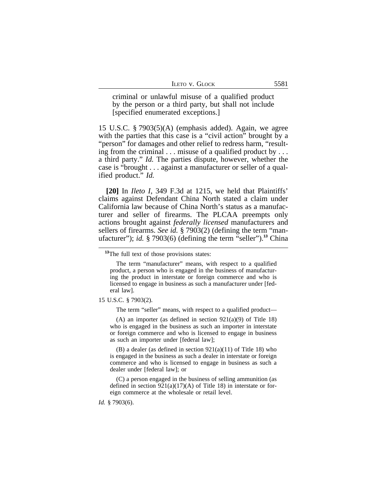| LETO V. GLOCK |  |
|---------------|--|
|---------------|--|

criminal or unlawful misuse of a qualified product by the person or a third party, but shall not include [specified enumerated exceptions.]

15 U.S.C. § 7903(5)(A) (emphasis added). Again, we agree with the parties that this case is a "civil action" brought by a "person" for damages and other relief to redress harm, "resulting from the criminal . . . misuse of a qualified product by . . . a third party." *Id.* The parties dispute, however, whether the case is "brought . . . against a manufacturer or seller of a qualified product." *Id.*

**[20]** In *Ileto I*, 349 F.3d at 1215, we held that Plaintiffs' claims against Defendant China North stated a claim under California law because of China North's status as a manufacturer and seller of firearms. The PLCAA preempts only actions brought against *federally licensed* manufacturers and sellers of firearms. *See id.* § 7903(2) (defining the term "manufacturer"); *id.* § 7903(6) (defining the term "seller").**<sup>13</sup>** China

The term "manufacturer" means, with respect to a qualified product, a person who is engaged in the business of manufacturing the product in interstate or foreign commerce and who is licensed to engage in business as such a manufacturer under [federal law].

#### 15 U.S.C. § 7903(2).

The term "seller" means, with respect to a qualified product—

(A) an importer (as defined in section  $921(a)(9)$  of Title 18) who is engaged in the business as such an importer in interstate or foreign commerce and who is licensed to engage in business as such an importer under [federal law];

(B) a dealer (as defined in section 921(a)(11) of Title 18) who is engaged in the business as such a dealer in interstate or foreign commerce and who is licensed to engage in business as such a dealer under [federal law]; or

(C) a person engaged in the business of selling ammunition (as defined in section  $921(a)(17)(A)$  of Title 18) in interstate or foreign commerce at the wholesale or retail level.

*Id.* § 7903(6).

**<sup>13</sup>**The full text of those provisions states: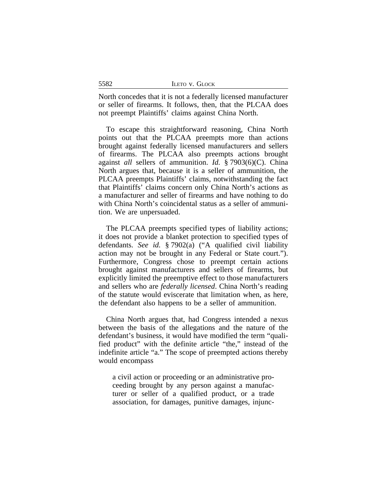|  | LETO V. GLOCK |
|--|---------------|
|--|---------------|

5582

North concedes that it is not a federally licensed manufacturer or seller of firearms. It follows, then, that the PLCAA does not preempt Plaintiffs' claims against China North.

To escape this straightforward reasoning, China North points out that the PLCAA preempts more than actions brought against federally licensed manufacturers and sellers of firearms. The PLCAA also preempts actions brought against *all* sellers of ammunition. *Id.* § 7903(6)(C). China North argues that, because it is a seller of ammunition, the PLCAA preempts Plaintiffs' claims, notwithstanding the fact that Plaintiffs' claims concern only China North's actions as a manufacturer and seller of firearms and have nothing to do with China North's coincidental status as a seller of ammunition. We are unpersuaded.

The PLCAA preempts specified types of liability actions; it does not provide a blanket protection to specified types of defendants. *See id.* § 7902(a) ("A qualified civil liability action may not be brought in any Federal or State court."). Furthermore, Congress chose to preempt certain actions brought against manufacturers and sellers of firearms, but explicitly limited the preemptive effect to those manufacturers and sellers who are *federally licensed*. China North's reading of the statute would eviscerate that limitation when, as here, the defendant also happens to be a seller of ammunition.

China North argues that, had Congress intended a nexus between the basis of the allegations and the nature of the defendant's business, it would have modified the term "qualified product" with the definite article "the," instead of the indefinite article "a." The scope of preempted actions thereby would encompass

a civil action or proceeding or an administrative proceeding brought by any person against a manufacturer or seller of a qualified product, or a trade association, for damages, punitive damages, injunc-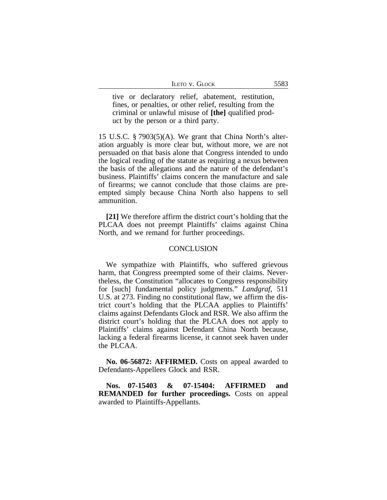| LETO V. GLOCK |  |
|---------------|--|
|---------------|--|

tive or declaratory relief, abatement, restitution, fines, or penalties, or other relief, resulting from the criminal or unlawful misuse of **[the]** qualified product by the person or a third party.

15 U.S.C. § 7903(5)(A). We grant that China North's alteration arguably is more clear but, without more, we are not persuaded on that basis alone that Congress intended to undo the logical reading of the statute as requiring a nexus between the basis of the allegations and the nature of the defendant's business. Plaintiffs' claims concern the manufacture and sale of firearms; we cannot conclude that those claims are preempted simply because China North also happens to sell ammunition.

**[21]** We therefore affirm the district court's holding that the PLCAA does not preempt Plaintiffs' claims against China North, and we remand for further proceedings.

#### **CONCLUSION**

We sympathize with Plaintiffs, who suffered grievous harm, that Congress preempted some of their claims. Nevertheless, the Constitution "allocates to Congress responsibility for [such] fundamental policy judgments." *Landgraf*, 511 U.S. at 273. Finding no constitutional flaw, we affirm the district court's holding that the PLCAA applies to Plaintiffs' claims against Defendants Glock and RSR. We also affirm the district court's holding that the PLCAA does not apply to Plaintiffs' claims against Defendant China North because, lacking a federal firearms license, it cannot seek haven under the PLCAA.

**No. 06-56872: AFFIRMED.** Costs on appeal awarded to Defendants-Appellees Glock and RSR.

**Nos. 07-15403 & 07-15404: AFFIRMED and REMANDED for further proceedings.** Costs on appeal awarded to Plaintiffs-Appellants.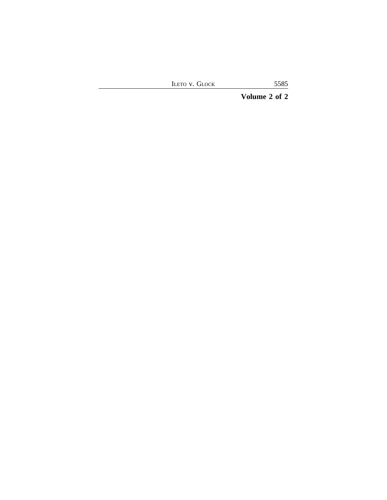ILETO V. GLOCK 5585

**Volume 2 of 2**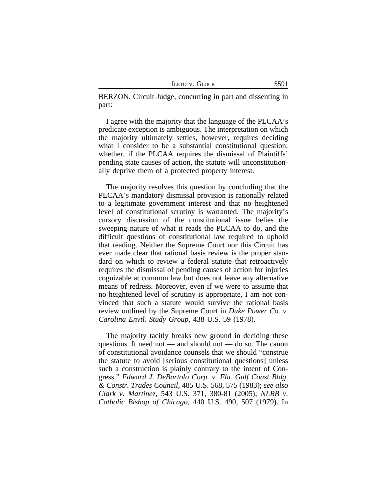|  | LETO V. GLOCK |
|--|---------------|
|  |               |

BERZON, Circuit Judge, concurring in part and dissenting in part:

I agree with the majority that the language of the PLCAA's predicate exception is ambiguous. The interpretation on which the majority ultimately settles, however, requires deciding what I consider to be a substantial constitutional question: whether, if the PLCAA requires the dismissal of Plaintiffs' pending state causes of action, the statute will unconstitutionally deprive them of a protected property interest.

The majority resolves this question by concluding that the PLCAA's mandatory dismissal provision is rationally related to a legitimate government interest and that no heightened level of constitutional scrutiny is warranted. The majority's cursory discussion of the constitutional issue belies the sweeping nature of what it reads the PLCAA to do, and the difficult questions of constitutional law required to uphold that reading. Neither the Supreme Court nor this Circuit has ever made clear that rational basis review is the proper standard on which to review a federal statute that retroactively requires the dismissal of pending causes of action for injuries cognizable at common law but does not leave any alternative means of redress. Moreover, even if we were to assume that no heightened level of scrutiny is appropriate, I am not convinced that such a statute would survive the rational basis review outlined by the Supreme Court in *Duke Power Co. v. Carolina Envtl. Study Group*, 438 U.S. 59 (1978).

The majority tacitly breaks new ground in deciding these questions. It need not — and should not — do so. The canon of constitutional avoidance counsels that we should "construe the statute to avoid [serious constitutional questions] unless such a construction is plainly contrary to the intent of Congress." *Edward J. DeBartolo Corp. v. Fla. Gulf Coast Bldg. & Constr. Trades Council*, 485 U.S. 568, 575 (1983); *see also Clark v. Martinez*, 543 U.S. 371, 380-81 (2005); *NLRB v. Catholic Bishop of Chicago*, 440 U.S. 490, 507 (1979). In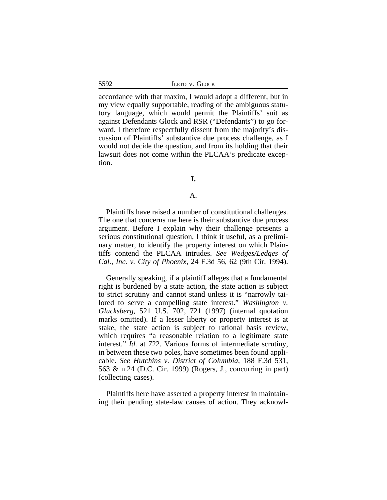| <b>ILETO V. GLOCK</b> |  |
|-----------------------|--|
|-----------------------|--|

accordance with that maxim, I would adopt a different, but in my view equally supportable, reading of the ambiguous statutory language, which would permit the Plaintiffs' suit as against Defendants Glock and RSR ("Defendants") to go forward. I therefore respectfully dissent from the majority's discussion of Plaintiffs' substantive due process challenge, as I would not decide the question, and from its holding that their lawsuit does not come within the PLCAA's predicate exception.

## **I.**

#### A.

Plaintiffs have raised a number of constitutional challenges. The one that concerns me here is their substantive due process argument. Before I explain why their challenge presents a serious constitutional question, I think it useful, as a preliminary matter, to identify the property interest on which Plaintiffs contend the PLCAA intrudes. *See Wedges/Ledges of Cal., Inc. v. City of Phoenix*, 24 F.3d 56, 62 (9th Cir. 1994).

Generally speaking, if a plaintiff alleges that a fundamental right is burdened by a state action, the state action is subject to strict scrutiny and cannot stand unless it is "narrowly tailored to serve a compelling state interest." *Washington v. Glucksberg*, 521 U.S. 702, 721 (1997) (internal quotation marks omitted). If a lesser liberty or property interest is at stake, the state action is subject to rational basis review, which requires "a reasonable relation to a legitimate state interest." *Id.* at 722. Various forms of intermediate scrutiny, in between these two poles, have sometimes been found applicable. *See Hutchins v. District of Columbia*, 188 F.3d 531, 563 & n.24 (D.C. Cir. 1999) (Rogers, J., concurring in part) (collecting cases).

Plaintiffs here have asserted a property interest in maintaining their pending state-law causes of action. They acknowl-

5592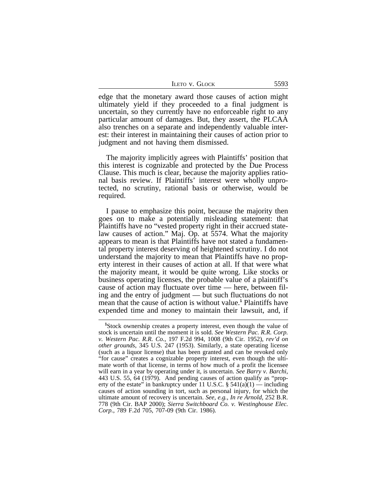| <b>LETO V. GLOCK</b> | 5593 |
|----------------------|------|
|----------------------|------|

edge that the monetary award those causes of action might ultimately yield if they proceeded to a final judgment is uncertain, so they currently have no enforceable right to any particular amount of damages. But, they assert, the PLCAA also trenches on a separate and independently valuable interest: their interest in maintaining their causes of action prior to judgment and not having them dismissed.

The majority implicitly agrees with Plaintiffs' position that this interest is cognizable and protected by the Due Process Clause. This much is clear, because the majority applies rational basis review. If Plaintiffs' interest were wholly unprotected, no scrutiny, rational basis or otherwise, would be required.

I pause to emphasize this point, because the majority then goes on to make a potentially misleading statement: that Plaintiffs have no "vested property right in their accrued statelaw causes of action." Maj. Op. at 5574. What the majority appears to mean is that Plaintiffs have not stated a fundamental property interest deserving of heightened scrutiny. I do not understand the majority to mean that Plaintiffs have no property interest in their causes of action at all. If that were what the majority meant, it would be quite wrong. Like stocks or business operating licenses, the probable value of a plaintiff's cause of action may fluctuate over time — here, between filing and the entry of judgment — but such fluctuations do not mean that the cause of action is without value.**<sup>1</sup>** Plaintiffs have expended time and money to maintain their lawsuit, and, if

**<sup>1</sup>**Stock ownership creates a property interest, even though the value of stock is uncertain until the moment it is sold. *See Western Pac. R.R. Corp. v. Western Pac. R.R. Co.*, 197 F.2d 994, 1008 (9th Cir. 1952), *rev'd on other grounds*, 345 U.S. 247 (1953). Similarly, a state operating license (such as a liquor license) that has been granted and can be revoked only "for cause" creates a cognizable property interest, even though the ultimate worth of that license, in terms of how much of a profit the licensee will earn in a year by operating under it, is uncertain. *See Barry v. Barchi*, 443 U.S. 55, 64 (1979). And pending causes of action qualify as "property of the estate" in bankruptcy under 11 U.S.C.  $\S$  541(a)(1) — including causes of action sounding in tort, such as personal injury, for which the ultimate amount of recovery is uncertain. *See, e.g., In re Arnold*, 252 B.R. 778 (9th Cir. BAP 2000); *Sierra Switchboard Co. v. Westinghouse Elec. Corp.*, 789 F.2d 705, 707-09 (9th Cir. 1986).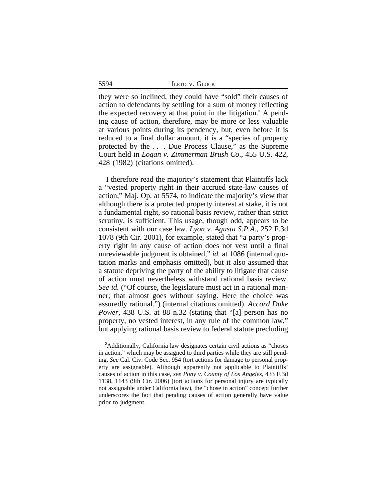5594 ILETO v. GLOCK

they were so inclined, they could have "sold" their causes of action to defendants by settling for a sum of money reflecting the expected recovery at that point in the litigation.**<sup>2</sup>** A pending cause of action, therefore, may be more or less valuable at various points during its pendency, but, even before it is reduced to a final dollar amount, it is a "species of property protected by the . . . Due Process Clause," as the Supreme Court held in *Logan v. Zimmerman Brush Co*., 455 U.S. 422, 428 (1982) (citations omitted).

I therefore read the majority's statement that Plaintiffs lack a "vested property right in their accrued state-law causes of action," Maj. Op. at 5574, to indicate the majority's view that although there is a protected property interest at stake, it is not a fundamental right, so rational basis review, rather than strict scrutiny, is sufficient. This usage, though odd, appears to be consistent with our case law. *Lyon v. Agusta S.P.A*., 252 F.3d 1078 (9th Cir. 2001), for example, stated that "a party's property right in any cause of action does not vest until a final unreviewable judgment is obtained," *id.* at 1086 (internal quotation marks and emphasis omitted), but it also assumed that a statute depriving the party of the ability to litigate that cause of action must nevertheless withstand rational basis review. *See id.* ("Of course, the legislature must act in a rational manner; that almost goes without saying. Here the choice was assuredly rational.") (internal citations omitted). *Accord Duke Power*, 438 U.S. at 88 n.32 (stating that "[a] person has no property, no vested interest, in any rule of the common law," but applying rational basis review to federal statute precluding

<sup>&</sup>lt;sup>2</sup>Additionally, California law designates certain civil actions as "choses" in action," which may be assigned to third parties while they are still pending. *See* Cal. Civ. Code Sec. 954 (tort actions for damage to personal property are assignable). Although apparently not applicable to Plaintiffs' causes of action in this case, *see Pony v. County of Los Angeles*, 433 F.3d 1138, 1143 (9th Cir. 2006) (tort actions for personal injury are typically not assignable under California law), the "chose in action" concept further underscores the fact that pending causes of action generally have value prior to judgment.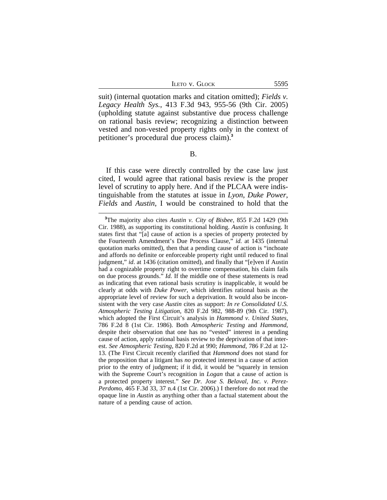ILETO V. GLOCK 5595

suit) (internal quotation marks and citation omitted); *Fields v. Legacy Health Sys.*, 413 F.3d 943, 955-56 (9th Cir. 2005) (upholding statute against substantive due process challenge on rational basis review; recognizing a distinction between vested and non-vested property rights only in the context of petitioner's procedural due process claim).**<sup>3</sup>**

B.

If this case were directly controlled by the case law just cited, I would agree that rational basis review is the proper level of scrutiny to apply here. And if the PLCAA were indistinguishable from the statutes at issue in *Lyon*, *Duke Power*, *Fields* and *Austin*, I would be constrained to hold that the

**<sup>3</sup>**The majority also cites *Austin v. City of Bisbee*, 855 F.2d 1429 (9th Cir. 1988), as supporting its constitutional holding. *Austin* is confusing. It states first that "[a] cause of action is a species of property protected by the Fourteenth Amendment's Due Process Clause," *id.* at 1435 (internal quotation marks omitted), then that a pending cause of action is "inchoate and affords no definite or enforceable property right until reduced to final judgment," *id.* at 1436 (citation omitted), and finally that "[e]ven if Austin had a cognizable property right to overtime compensation, his claim fails on due process grounds." *Id.* If the middle one of these statements is read as indicating that even rational basis scrutiny is inapplicable, it would be clearly at odds with *Duke Power*, which identifies rational basis as the appropriate level of review for such a deprivation. It would also be inconsistent with the very case *Austin* cites as support: *In re Consolidated U.S. Atmospheric Testing Litigation*, 820 F.2d 982, 988-89 (9th Cir. 1987), which adopted the First Circuit's analysis in *Hammond v. United States*, 786 F.2d 8 (1st Cir. 1986). Both *Atmospheric Testing* and *Hammond*, despite their observation that one has no "vested" interest in a pending cause of action, apply rational basis review to the deprivation of that interest. *See Atmospheric Testing*, 820 F.2d at 990; *Hammond*, 786 F.2d at 12- 13. (The First Circuit recently clarified that *Hammond* does not stand for the proposition that a litigant has *no* protected interest in a cause of action prior to the entry of judgment; if it did, it would be "squarely in tension with the Supreme Court's recognition in *Logan* that a cause of action is a protected property interest." *See Dr. Jose S. Belaval, Inc. v. Perez-Perdomo*, 465 F.3d 33, 37 n.4 (1st Cir. 2006).) I therefore do not read the opaque line in *Austin* as anything other than a factual statement about the nature of a pending cause of action.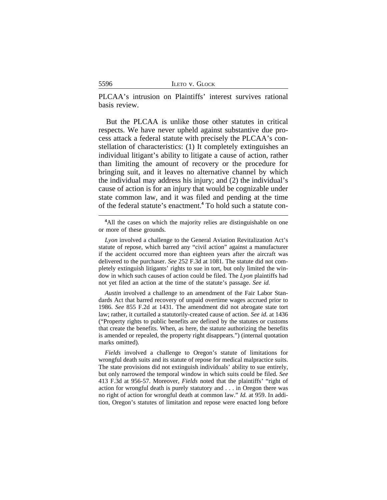|  | LETO V. GLOCK |
|--|---------------|
|  |               |

PLCAA's intrusion on Plaintiffs' interest survives rational basis review.

But the PLCAA is unlike those other statutes in critical respects. We have never upheld against substantive due process attack a federal statute with precisely the PLCAA's constellation of characteristics: (1) It completely extinguishes an individual litigant's ability to litigate a cause of action, rather than limiting the amount of recovery or the procedure for bringing suit, and it leaves no alternative channel by which the individual may address his injury; and (2) the individual's cause of action is for an injury that would be cognizable under state common law, and it was filed and pending at the time of the federal statute's enactment.**<sup>4</sup>** To hold such a statute con-

*Austin* involved a challenge to an amendment of the Fair Labor Standards Act that barred recovery of unpaid overtime wages accrued prior to 1986. *See* 855 F.2d at 1431. The amendment did not abrogate state tort law; rather, it curtailed a statutorily-created cause of action. *See id*. at 1436 ("Property rights to public benefits are defined by the statutes or customs that create the benefits. When, as here, the statute authorizing the benefits is amended or repealed, the property right disappears.") (internal quotation marks omitted).

*Fields* involved a challenge to Oregon's statute of limitations for wrongful death suits and its statute of repose for medical malpractice suits. The state provisions did not extinguish individuals' ability to sue entirely, but only narrowed the temporal window in which suits could be filed. *See* 413 F.3d at 956-57. Moreover, *Fields* noted that the plaintiffs' "right of action for wrongful death is purely statutory and . . . in Oregon there was no right of action for wrongful death at common law." *Id.* at 959. In addition, Oregon's statutes of limitation and repose were enacted long before

5596

<sup>&</sup>lt;sup>4</sup>All the cases on which the majority relies are distinguishable on one or more of these grounds.

*Lyon* involved a challenge to the General Aviation Revitalization Act's statute of repose, which barred any "civil action" against a manufacturer if the accident occurred more than eighteen years after the aircraft was delivered to the purchaser. *See* 252 F.3d at 1081. The statute did not completely extinguish litigants' rights to sue in tort, but only limited the window in which such causes of action could be filed. The *Lyon* plaintiffs had not yet filed an action at the time of the statute's passage. *See id.*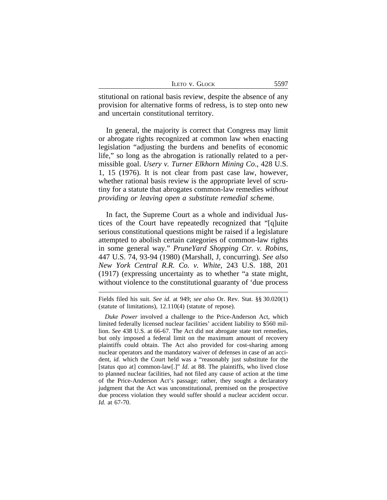| <b>LETO V. GLOCK</b> | 5597 |
|----------------------|------|
|----------------------|------|

stitutional on rational basis review, despite the absence of any provision for alternative forms of redress, is to step onto new and uncertain constitutional territory.

In general, the majority is correct that Congress may limit or abrogate rights recognized at common law when enacting legislation "adjusting the burdens and benefits of economic life," so long as the abrogation is rationally related to a permissible goal. *Usery v. Turner Elkhorn Mining Co*., 428 U.S. 1, 15 (1976). It is not clear from past case law, however, whether rational basis review is the appropriate level of scrutiny for a statute that abrogates common-law remedies *without providing or leaving open a substitute remedial schem*e.

In fact, the Supreme Court as a whole and individual Justices of the Court have repeatedly recognized that "[q]uite serious constitutional questions might be raised if a legislature attempted to abolish certain categories of common-law rights in some general way." *PruneYard Shopping Ctr. v. Robins*, 447 U.S. 74, 93-94 (1980) (Marshall, J, concurring). *See also New York Central R.R. Co. v. White*, 243 U.S. 188, 201 (1917) (expressing uncertainty as to whether "a state might, without violence to the constitutional guaranty of 'due process

Fields filed his suit. *See id.* at 949; *see also* Or. Rev. Stat. §§ 30.020(1) (statute of limitations), 12.110(4) (statute of repose).

*Duke Power* involved a challenge to the Price-Anderson Act, which limited federally licensed nuclear facilities' accident liability to \$560 million. *See* 438 U.S. at 66-67. The Act did not abrogate state tort remedies, but only imposed a federal limit on the maximum amount of recovery plaintiffs could obtain. The Act also provided for cost-sharing among nuclear operators and the mandatory waiver of defenses in case of an accident, *id.* which the Court held was a "reasonably just substitute for the [status quo at] common-law[.]" *Id*. at 88. The plaintiffs, who lived close to planned nuclear facilities, had not filed any cause of action at the time of the Price-Anderson Act's passage; rather, they sought a declaratory judgment that the Act was unconstitutional, premised on the prospective due process violation they would suffer should a nuclear accident occur. *Id.* at 67-70.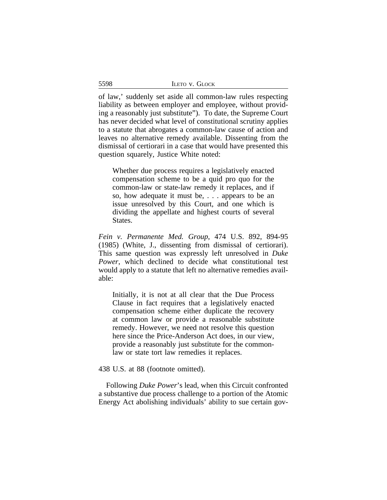| LETO V. GLOCK |
|---------------|
|---------------|

of law,' suddenly set aside all common-law rules respecting liability as between employer and employee, without providing a reasonably just substitute"). To date, the Supreme Court has never decided what level of constitutional scrutiny applies to a statute that abrogates a common-law cause of action and leaves no alternative remedy available. Dissenting from the dismissal of certiorari in a case that would have presented this question squarely, Justice White noted:

Whether due process requires a legislatively enacted compensation scheme to be a quid pro quo for the common-law or state-law remedy it replaces, and if so, how adequate it must be, . . . appears to be an issue unresolved by this Court, and one which is dividing the appellate and highest courts of several States.

*Fein v. Permanente Med. Group*, 474 U.S. 892, 894-95 (1985) (White, J., dissenting from dismissal of certiorari). This same question was expressly left unresolved in *Duke Power*, which declined to decide what constitutional test would apply to a statute that left no alternative remedies available:

Initially, it is not at all clear that the Due Process Clause in fact requires that a legislatively enacted compensation scheme either duplicate the recovery at common law or provide a reasonable substitute remedy. However, we need not resolve this question here since the Price-Anderson Act does, in our view, provide a reasonably just substitute for the commonlaw or state tort law remedies it replaces.

438 U.S. at 88 (footnote omitted).

Following *Duke Power*'s lead, when this Circuit confronted a substantive due process challenge to a portion of the Atomic Energy Act abolishing individuals' ability to sue certain gov-

5598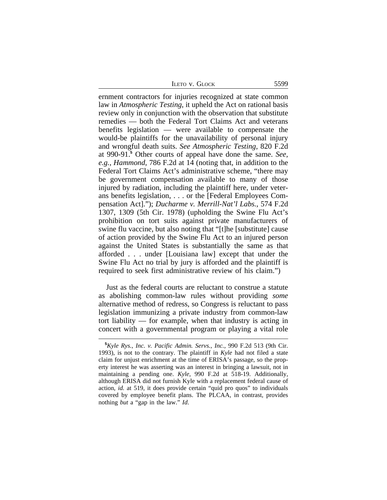ILETO V. GLOCK 5599

ernment contractors for injuries recognized at state common law in *Atmospheric Testing*, it upheld the Act on rational basis review only in conjunction with the observation that substitute remedies — both the Federal Tort Claims Act and veterans benefits legislation — were available to compensate the would-be plaintiffs for the unavailability of personal injury and wrongful death suits. *See Atmospheric Testing*, 820 F.2d at 990-91.**<sup>5</sup>** Other courts of appeal have done the same. *See, e.g.*, *Hammond*, 786 F.2d at 14 (noting that, in addition to the Federal Tort Claims Act's administrative scheme, "there may be government compensation available to many of those injured by radiation, including the plaintiff here, under veterans benefits legislation, . . . or the [Federal Employees Compensation Act]."); *Ducharme v. Merrill-Nat'l Labs.*, 574 F.2d 1307, 1309 (5th Cir. 1978) (upholding the Swine Flu Act's prohibition on tort suits against private manufacturers of swine flu vaccine, but also noting that "[t]he [substitute] cause of action provided by the Swine Flu Act to an injured person against the United States is substantially the same as that afforded . . . under [Louisiana law] except that under the Swine Flu Act no trial by jury is afforded and the plaintiff is required to seek first administrative review of his claim.")

Just as the federal courts are reluctant to construe a statute as abolishing common-law rules without providing *some* alternative method of redress, so Congress is reluctant to pass legislation immunizing a private industry from common-law tort liability — for example, when that industry is acting in concert with a governmental program or playing a vital role

**<sup>5</sup>***Kyle Rys., Inc. v. Pacific Admin. Servs., Inc.*, 990 F.2d 513 (9th Cir. 1993), is not to the contrary. The plaintiff in *Kyle* had not filed a state claim for unjust enrichment at the time of ERISA's passage, so the property interest he was asserting was an interest in bringing a lawsuit, not in maintaining a pending one. *Kyle*, 990 F.2d at 518-19. Additionally, although ERISA did not furnish Kyle with a replacement federal cause of action, *id.* at 519, it does provide certain "quid pro quos" to individuals covered by employee benefit plans. The PLCAA, in contrast, provides nothing *but* a "gap in the law." *Id*.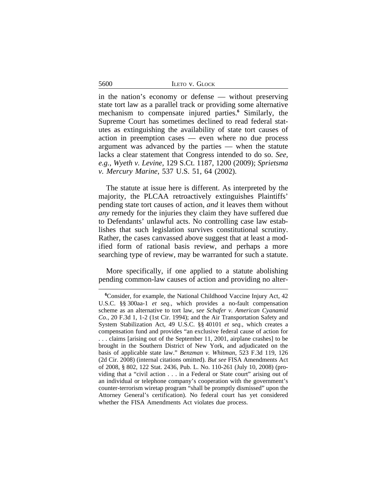|  | ILETO V. GLOCK |
|--|----------------|
|  |                |

in the nation's economy or defense — without preserving state tort law as a parallel track or providing some alternative mechanism to compensate injured parties.**<sup>6</sup>** Similarly, the Supreme Court has sometimes declined to read federal statutes as extinguishing the availability of state tort causes of action in preemption cases — even where no due process argument was advanced by the parties — when the statute lacks a clear statement that Congress intended to do so. *See, e.g.*, *Wyeth v. Levine*, 129 S.Ct. 1187, 1200 (2009); *Sprietsma v. Mercury Marine*, 537 U.S. 51, 64 (2002).

The statute at issue here is different. As interpreted by the majority, the PLCAA retroactively extinguishes Plaintiffs' pending state tort causes of action, *and* it leaves them without *any* remedy for the injuries they claim they have suffered due to Defendants' unlawful acts. No controlling case law establishes that such legislation survives constitutional scrutiny. Rather, the cases canvassed above suggest that at least a modified form of rational basis review, and perhaps a more searching type of review, may be warranted for such a statute.

More specifically, if one applied to a statute abolishing pending common-law causes of action and providing no alter-

5600

**<sup>6</sup>**Consider, for example, the National Childhood Vaccine Injury Act, 42 U.S.C. §§ 300aa-1 *et seq.*, which provides a no-fault compensation scheme as an alternative to tort law, *see Schafer v. American Cyanamid Co.*, 20 F.3d 1, 1-2 (1st Cir. 1994); and the Air Transportation Safety and System Stabilization Act, 49 U.S.C. §§ 40101 *et seq.*, which creates a compensation fund and provides "an exclusive federal cause of action for . . . claims [arising out of the September 11, 2001, airplane crashes] to be brought in the Southern District of New York, and adjudicated on the basis of applicable state law." *Benzman v. Whitman*, 523 F.3d 119, 126 (2d Cir. 2008) (internal citations omitted). *But see* FISA Amendments Act of 2008, § 802, 122 Stat. 2436, Pub. L. No. 110-261 (July 10, 2008) (providing that a "civil action . . . in a Federal or State court" arising out of an individual or telephone company's cooperation with the government's counter-terrorism wiretap program "shall be promptly dismissed" upon the Attorney General's certification). No federal court has yet considered whether the FISA Amendments Act violates due process.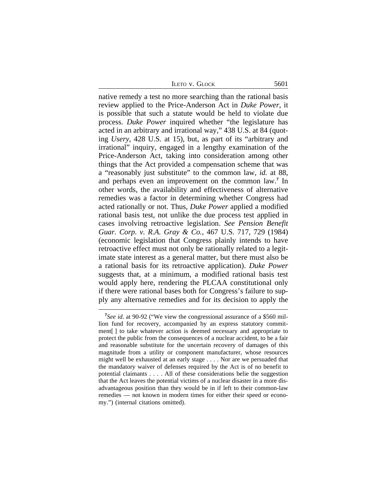ILETO V. GLOCK 5601

native remedy a test no more searching than the rational basis review applied to the Price-Anderson Act in *Duke Power*, it is possible that such a statute would be held to violate due process. *Duke Power* inquired whether "the legislature has acted in an arbitrary and irrational way," 438 U.S. at 84 (quoting *Usery*, 428 U.S. at 15), but, as part of its "arbitrary and irrational" inquiry, engaged in a lengthy examination of the Price-Anderson Act, taking into consideration among other things that the Act provided a compensation scheme that was a "reasonably just substitute" to the common law, *id.* at 88, and perhaps even an improvement on the common law.**<sup>7</sup>** In other words, the availability and effectiveness of alternative remedies was a factor in determining whether Congress had acted rationally or not. Thus, *Duke Power* applied a modified rational basis test, not unlike the due process test applied in cases involving retroactive legislation. *See Pension Benefit Guar. Corp. v. R.A. Gray & Co.*, 467 U.S. 717, 729 (1984) (economic legislation that Congress plainly intends to have retroactive effect must not only be rationally related to a legitimate state interest as a general matter, but there must also be a rational basis for its retroactive application). *Duke Power* suggests that, at a minimum, a modified rational basis test would apply here, rendering the PLCAA constitutional only if there were rational bases both for Congress's failure to supply any alternative remedies and for its decision to apply the

<sup>&</sup>lt;sup>7</sup>See id. at 90-92 ("We view the congressional assurance of a \$560 million fund for recovery, accompanied by an express statutory commitment[ ] to take whatever action is deemed necessary and appropriate to protect the public from the consequences of a nuclear accident, to be a fair and reasonable substitute for the uncertain recovery of damages of this magnitude from a utility or component manufacturer, whose resources might well be exhausted at an early stage . . . . Nor are we persuaded that the mandatory waiver of defenses required by the Act is of no benefit to potential claimants . . . . All of these considerations belie the suggestion that the Act leaves the potential victims of a nuclear disaster in a more disadvantageous position than they would be in if left to their common-law remedies — not known in modern times for either their speed or economy.") (internal citations omitted).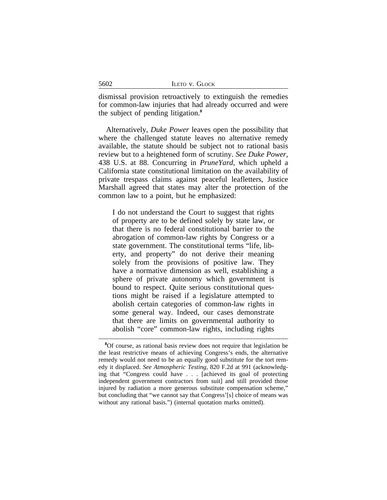|  |  | LETO V. GLOCK |
|--|--|---------------|
|--|--|---------------|

dismissal provision retroactively to extinguish the remedies for common-law injuries that had already occurred and were the subject of pending litigation.**<sup>8</sup>**

Alternatively, *Duke Power* leaves open the possibility that where the challenged statute leaves no alternative remedy available, the statute should be subject not to rational basis review but to a heightened form of scrutiny. *See Duke Power*, 438 U.S. at 88. Concurring in *PruneYard*, which upheld a California state constitutional limitation on the availability of private trespass claims against peaceful leafletters, Justice Marshall agreed that states may alter the protection of the common law to a point, but he emphasized:

I do not understand the Court to suggest that rights of property are to be defined solely by state law, or that there is no federal constitutional barrier to the abrogation of common-law rights by Congress or a state government. The constitutional terms "life, liberty, and property" do not derive their meaning solely from the provisions of positive law. They have a normative dimension as well, establishing a sphere of private autonomy which government is bound to respect. Quite serious constitutional questions might be raised if a legislature attempted to abolish certain categories of common-law rights in some general way. Indeed, our cases demonstrate that there are limits on governmental authority to abolish "core" common-law rights, including rights

5602

**<sup>8</sup>**Of course, as rational basis review does not require that legislation be the least restrictive means of achieving Congress's ends, the alternative remedy would not need to be an equally good substitute for the tort remedy it displaced. *See Atmospheric Testing*, 820 F.2d at 991 (acknowledging that "Congress could have . . . [achieved its goal of protecting independent government contractors from suit] and still provided those injured by radiation a more generous substitute compensation scheme," but concluding that "we cannot say that Congress'[s] choice of means was without any rational basis.") (internal quotation marks omitted).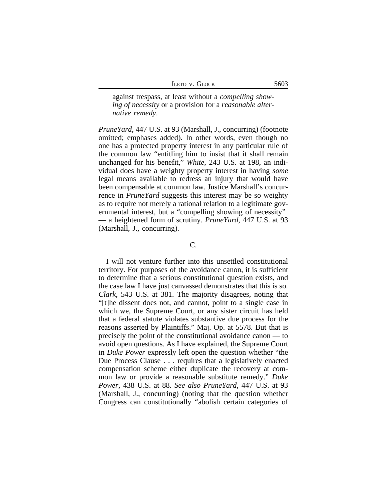|  |  | LETO V. GLOCK |
|--|--|---------------|
|--|--|---------------|

against trespass, at least without a *compelling showing of necessity* or a provision for a *reasonable alternative remedy*.

*PruneYard*, 447 U.S. at 93 (Marshall, J., concurring) (footnote omitted; emphases added). In other words, even though no one has a protected property interest in any particular rule of the common law "entitling him to insist that it shall remain unchanged for his benefit," *White*, 243 U.S. at 198, an individual does have a weighty property interest in having *some* legal means available to redress an injury that would have been compensable at common law. Justice Marshall's concurrence in *PruneYard* suggests this interest may be so weighty as to require not merely a rational relation to a legitimate governmental interest, but a "compelling showing of necessity" — a heightened form of scrutiny. *PruneYard*, 447 U.S. at 93 (Marshall, J., concurring).

# C.

I will not venture further into this unsettled constitutional territory. For purposes of the avoidance canon, it is sufficient to determine that a serious constitutional question exists, and the case law I have just canvassed demonstrates that this is so. *Clark*, 543 U.S. at 381. The majority disagrees, noting that "[t]he dissent does not, and cannot, point to a single case in which we, the Supreme Court, or any sister circuit has held that a federal statute violates substantive due process for the reasons asserted by Plaintiffs." Maj. Op. at 5578. But that is precisely the point of the constitutional avoidance canon — to avoid open questions. As I have explained, the Supreme Court in *Duke Power* expressly left open the question whether "the Due Process Clause . . . requires that a legislatively enacted compensation scheme either duplicate the recovery at common law or provide a reasonable substitute remedy." *Duke Power*, 438 U.S. at 88. *See also PruneYard*, 447 U.S. at 93 (Marshall, J., concurring) (noting that the question whether Congress can constitutionally "abolish certain categories of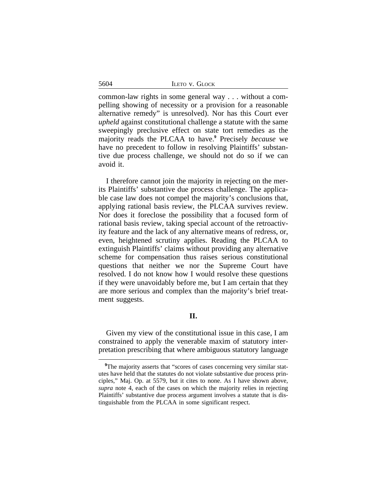|  |  | LETO V. GLOCK |
|--|--|---------------|
|--|--|---------------|

common-law rights in some general way . . . without a compelling showing of necessity or a provision for a reasonable alternative remedy" is unresolved). Nor has this Court ever *upheld* against constitutional challenge a statute with the same sweepingly preclusive effect on state tort remedies as the majority reads the PLCAA to have.**<sup>9</sup>** Precisely *because* we have no precedent to follow in resolving Plaintiffs' substantive due process challenge, we should not do so if we can avoid it.

I therefore cannot join the majority in rejecting on the merits Plaintiffs' substantive due process challenge. The applicable case law does not compel the majority's conclusions that, applying rational basis review, the PLCAA survives review. Nor does it foreclose the possibility that a focused form of rational basis review, taking special account of the retroactivity feature and the lack of any alternative means of redress, or, even, heightened scrutiny applies. Reading the PLCAA to extinguish Plaintiffs' claims without providing any alternative scheme for compensation thus raises serious constitutional questions that neither we nor the Supreme Court have resolved. I do not know how I would resolve these questions if they were unavoidably before me, but I am certain that they are more serious and complex than the majority's brief treatment suggests.

# **II.**

Given my view of the constitutional issue in this case, I am constrained to apply the venerable maxim of statutory interpretation prescribing that where ambiguous statutory language

5604

<sup>&</sup>lt;sup>9</sup>The majority asserts that "scores of cases concerning very similar statutes have held that the statutes do not violate substantive due process principles," Maj. Op. at 5579, but it cites to none. As I have shown above, *supra* note 4, each of the cases on which the majority relies in rejecting Plaintiffs' substantive due process argument involves a statute that is distinguishable from the PLCAA in some significant respect.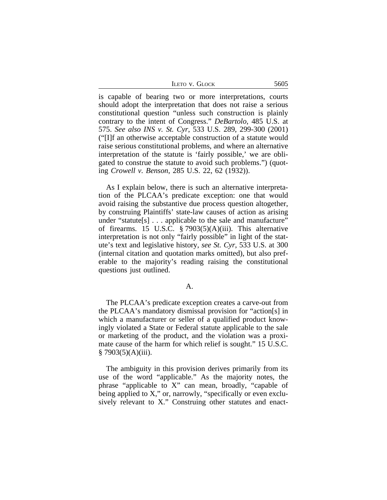| <b>ILETO V. GLOCK</b> | 5605 |
|-----------------------|------|
|-----------------------|------|

is capable of bearing two or more interpretations, courts should adopt the interpretation that does not raise a serious constitutional question "unless such construction is plainly contrary to the intent of Congress." *DeBartolo*, 485 U.S. at 575. *See also INS v. St. Cyr*, 533 U.S. 289, 299-300 (2001) ("[I]f an otherwise acceptable construction of a statute would raise serious constitutional problems, and where an alternative interpretation of the statute is 'fairly possible,' we are obligated to construe the statute to avoid such problems.") (quoting *Crowell v. Benson*, 285 U.S. 22, 62 (1932)).

As I explain below, there is such an alternative interpretation of the PLCAA's predicate exception: one that would avoid raising the substantive due process question altogether, by construing Plaintiffs' state-law causes of action as arising under "statute<sup>[s]</sup> . . . applicable to the sale and manufacture" of firearms. 15 U.S.C. § 7903(5)(A)(iii). This alternative interpretation is not only "fairly possible" in light of the statute's text and legislative history, *see St. Cyr*, 533 U.S. at 300 (internal citation and quotation marks omitted), but also preferable to the majority's reading raising the constitutional questions just outlined.

## A.

The PLCAA's predicate exception creates a carve-out from the PLCAA's mandatory dismissal provision for "action[s] in which a manufacturer or seller of a qualified product knowingly violated a State or Federal statute applicable to the sale or marketing of the product, and the violation was a proximate cause of the harm for which relief is sought." 15 U.S.C.  $§ 7903(5)(A)(iii).$ 

The ambiguity in this provision derives primarily from its use of the word "applicable." As the majority notes, the phrase "applicable to X" can mean, broadly, "capable of being applied to X," or, narrowly, "specifically or even exclusively relevant to X." Construing other statutes and enact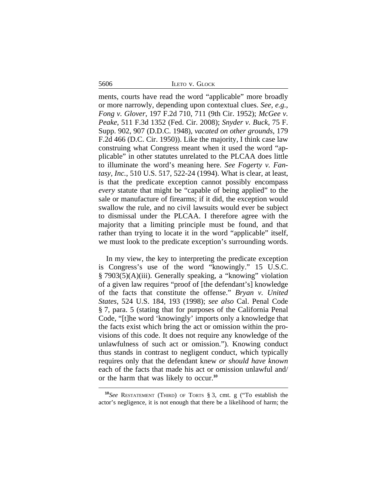5606 ILETO v. GLOCK

ments, courts have read the word "applicable" more broadly or more narrowly, depending upon contextual clues. *See, e.g.*, *Fong v. Glover*, 197 F.2d 710, 711 (9th Cir. 1952); *McGee v. Peake*, 511 F.3d 1352 (Fed. Cir. 2008); *Snyder v. Buck*, 75 F. Supp. 902, 907 (D.D.C. 1948), *vacated on other grounds*, 179 F.2d 466 (D.C. Cir. 1950)). Like the majority, I think case law construing what Congress meant when it used the word "applicable" in other statutes unrelated to the PLCAA does little to illuminate the word's meaning here. *See Fogerty v. Fantasy, Inc.*, 510 U.S. 517, 522-24 (1994). What is clear, at least, is that the predicate exception cannot possibly encompass *every* statute that might be "capable of being applied" to the sale or manufacture of firearms; if it did, the exception would swallow the rule, and no civil lawsuits would ever be subject to dismissal under the PLCAA. I therefore agree with the majority that a limiting principle must be found, and that rather than trying to locate it in the word "applicable" itself, we must look to the predicate exception's surrounding words.

In my view, the key to interpreting the predicate exception is Congress's use of the word "knowingly." 15 U.S.C. § 7903(5)(A)(iii). Generally speaking, a "knowing" violation of a given law requires "proof of [the defendant's] knowledge of the facts that constitute the offense." *Bryan v. United States*, 524 U.S. 184, 193 (1998); *see also* Cal. Penal Code § 7, para. 5 (stating that for purposes of the California Penal Code, "[t]he word 'knowingly' imports only a knowledge that the facts exist which bring the act or omission within the provisions of this code. It does not require any knowledge of the unlawfulness of such act or omission."). Knowing conduct thus stands in contrast to negligent conduct, which typically requires only that the defendant knew *or should have known* each of the facts that made his act or omission unlawful and/ or the harm that was likely to occur.**<sup>10</sup>**

**<sup>10</sup>***See* RESTATEMENT (THIRD) OF TORTS § 3, cmt. g ("To establish the actor's negligence, it is not enough that there be a likelihood of harm; the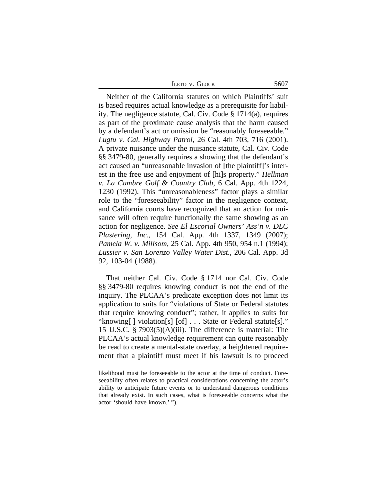| <b>LETO V. GLOCK</b> | 5607 |
|----------------------|------|
|                      |      |

Neither of the California statutes on which Plaintiffs' suit is based requires actual knowledge as a prerequisite for liability. The negligence statute, Cal. Civ. Code § 1714(a), requires as part of the proximate cause analysis that the harm caused by a defendant's act or omission be "reasonably foreseeable." *Lugtu v. Cal. Highway Patrol*, 26 Cal. 4th 703, 716 (2001). A private nuisance under the nuisance statute, Cal. Civ. Code §§ 3479-80, generally requires a showing that the defendant's act caused an "unreasonable invasion of [the plaintiff]'s interest in the free use and enjoyment of [hi]s property." *Hellman v. La Cumbre Golf & Country Club*, 6 Cal. App. 4th 1224, 1230 (1992). This "unreasonableness" factor plays a similar role to the "foreseeability" factor in the negligence context, and California courts have recognized that an action for nuisance will often require functionally the same showing as an action for negligence. *See El Escorial Owners' Ass'n v. DLC Plastering, Inc.*, 154 Cal. App. 4th 1337, 1349 (2007); *Pamela W. v. Millsom*, 25 Cal. App. 4th 950, 954 n.1 (1994); *Lussier v. San Lorenzo Valley Water Dist.*, 206 Cal. App. 3d 92, 103-04 (1988).

That neither Cal. Civ. Code § 1714 nor Cal. Civ. Code §§ 3479-80 requires knowing conduct is not the end of the inquiry. The PLCAA's predicate exception does not limit its application to suits for "violations of State or Federal statutes that require knowing conduct"; rather, it applies to suits for "knowing[ ] violation[s] [of] . . . State or Federal statute[s]." 15 U.S.C. § 7903(5)(A)(iii). The difference is material: The PLCAA's actual knowledge requirement can quite reasonably be read to create a mental-state overlay, a heightened requirement that a plaintiff must meet if his lawsuit is to proceed

likelihood must be foreseeable to the actor at the time of conduct. Foreseeability often relates to practical considerations concerning the actor's ability to anticipate future events or to understand dangerous conditions that already exist. In such cases, what is foreseeable concerns what the actor 'should have known.' ").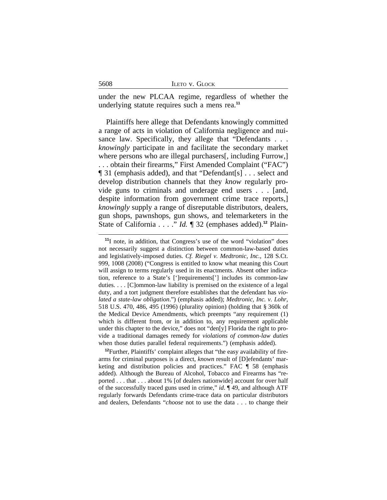|  | LETO V. GLOCK |
|--|---------------|
|  |               |

under the new PLCAA regime, regardless of whether the underlying statute requires such a mens rea.**<sup>11</sup>**

Plaintiffs here allege that Defendants knowingly committed a range of acts in violation of California negligence and nuisance law. Specifically, they allege that "Defendants . . . *knowingly* participate in and facilitate the secondary market where persons who are illegal purchasers[, including Furrow,] . . . obtain their firearms," First Amended Complaint ("FAC") ¶ 31 (emphasis added), and that "Defendant[s] . . . select and develop distribution channels that they *know* regularly provide guns to criminals and underage end users . . . [and, despite information from government crime trace reports, *knowingly* supply a range of disreputable distributors, dealers, gun shops, pawnshops, gun shows, and telemarketers in the State of California . . . ." *Id.* ¶ 32 (emphases added).**12** Plain-

**<sup>12</sup>**Further, Plaintiffs' complaint alleges that "the easy availability of firearms for criminal purposes is a direct, *known* result of [D]efendants' marketing and distribution policies and practices." FAC ¶ 58 (emphasis added). Although the Bureau of Alcohol, Tobacco and Firearms has "reported . . . that . . . about 1% [of dealers nationwide] account for over half of the successfully traced guns used in crime," *id*. ¶ 49, and although ATF regularly forwards Defendants crime-trace data on particular distributors and dealers, Defendants "*choose* not to use the data . . . to change their

<sup>&</sup>lt;sup>11</sup>I note, in addition, that Congress's use of the word "violation" does not necessarily suggest a distinction between common-law-based duties and legislatively-imposed duties. *Cf. Riegel v. Medtronic, Inc.*, 128 S.Ct. 999, 1008 (2008) ("Congress is entitled to know what meaning this Court will assign to terms regularly used in its enactments. Absent other indication, reference to a State's [']requirements['] includes its common-law duties. . . . [C]ommon-law liability is premised on the existence of a legal duty, and a tort judgment therefore establishes that the defendant has *violated a state-law obligation*.") (emphasis added); *Medtronic, Inc. v. Lohr*, 518 U.S. 470, 486, 495 (1996) (plurality opinion) (holding that § 360k of the Medical Device Amendments, which preempts "any requirement (1) which is different from, or in addition to, any requirement applicable under this chapter to the device," does not "den[y] Florida the right to provide a traditional damages remedy for *violations of common-law duties* when those duties parallel federal requirements.") (emphasis added).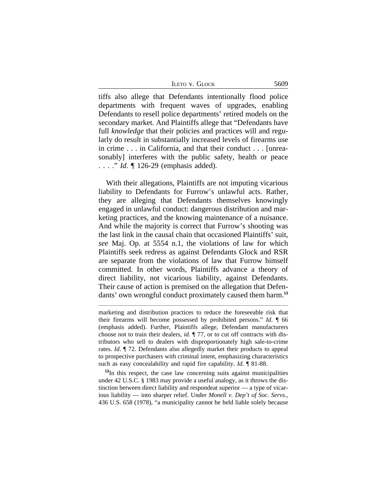5609

tiffs also allege that Defendants intentionally flood police departments with frequent waves of upgrades, enabling Defendants to resell police departments' retired models on the secondary market. And Plaintiffs allege that "Defendants have full *knowledge* that their policies and practices will and regularly do result in substantially increased levels of firearms use in crime . . . in California, and that their conduct . . . [unreasonably] interferes with the public safety, health or peace . . . . " *Id*. ¶ 126-29 (emphasis added).

With their allegations, Plaintiffs are not imputing vicarious liability to Defendants for Furrow's unlawful acts. Rather, they are alleging that Defendants themselves knowingly engaged in unlawful conduct: dangerous distribution and marketing practices, and the knowing maintenance of a nuisance. And while the majority is correct that Furrow's shooting was the last link in the causal chain that occasioned Plaintiffs' suit, *see* Maj. Op. at 5554 n.1, the violations of law for which Plaintiffs seek redress as against Defendants Glock and RSR are separate from the violations of law that Furrow himself committed. In other words, Plaintiffs advance a theory of direct liability, not vicarious liability, against Defendants. Their cause of action is premised on the allegation that Defendants' own wrongful conduct proximately caused them harm.**<sup>13</sup>**

marketing and distribution practices to reduce the foreseeable risk that their firearms will become possessed by prohibited persons." *Id*. ¶ 66 (emphasis added). Further, Plaintiffs allege, Defendant manufacturers choose not to train their dealers, *id.* ¶ 77, or to cut off contracts with distributors who sell to dealers with disproportionately high sale-to-crime rates. *Id*. ¶ 72. Defendants also allegedly market their products to appeal to prospective purchasers with criminal intent, emphasizing characteristics such as easy concealability and rapid fire capability. *Id.* ¶ 81-88.

**<sup>13</sup>**In this respect, the case law concerning suits against municipalities under 42 U.S.C. § 1983 may provide a useful analogy, as it throws the distinction between direct liability and respondeat superior — a type of vicarious liability — into sharper relief. Under *Monell v. Dep't of Soc. Servs.,* 436 U.S. 658 (1978), "a municipality cannot be held liable solely because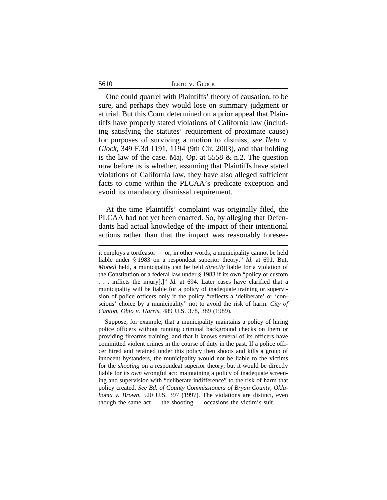|  | LETO V. GLOCK |
|--|---------------|
|  |               |

5610

One could quarrel with Plaintiffs' theory of causation, to be sure, and perhaps they would lose on summary judgment or at trial. But this Court determined on a prior appeal that Plaintiffs have properly stated violations of California law (including satisfying the statutes' requirement of proximate cause) for purposes of surviving a motion to dismiss, *see Ileto v. Glock*, 349 F.3d 1191, 1194 (9th Cir. 2003), and that holding is the law of the case. Maj. Op. at 5558 & n.2. The question now before us is whether, assuming that Plaintiffs have stated violations of California law, they have also alleged sufficient facts to come within the PLCAA's predicate exception and avoid its mandatory dismissal requirement.

At the time Plaintiffs' complaint was originally filed, the PLCAA had not yet been enacted. So, by alleging that Defendants had actual knowledge of the impact of their intentional actions rather than that the impact was reasonably foresee-

Suppose, for example, that a municipality maintains a policy of hiring police officers without running criminal background checks on them or providing firearms training, and that it knows several of its officers have committed violent crimes in the course of duty in the past. If a police officer hired and retained under this policy then shoots and kills a group of innocent bystanders, the municipality would not be liable to the victims for the *shooting* on a respondeat superior theory, but it would be directly liable for its *own* wrongful act: maintaining a policy of inadequate screening and supervision with "deliberate indifference" to the risk of harm that policy created. *See Bd. of County Commissioners of Bryan County, Oklahoma v. Brown*, 520 U.S. 397 (1997). The violations are distinct, even though the same act — the shooting — occasions the victim's suit.

it employs a tortfeasor — or, in other words, a municipality cannot be held liable under § 1983 on a respondeat superior theory." *Id*. at 691. But, *Monell* held, a municipality can be held *directly* liable for a violation of the Constitution or a federal law under § 1983 if its own "policy or custom . . . inflicts the injury[.]" *Id.* at 694. Later cases have clarified that a municipality will be liable for a policy of inadequate training or supervision of police officers only if the policy "reflects a 'deliberate' or 'conscious' choice by a municipality" not to avoid the risk of harm. *City of Canton, Ohio v. Harris*, 489 U.S. 378, 389 (1989).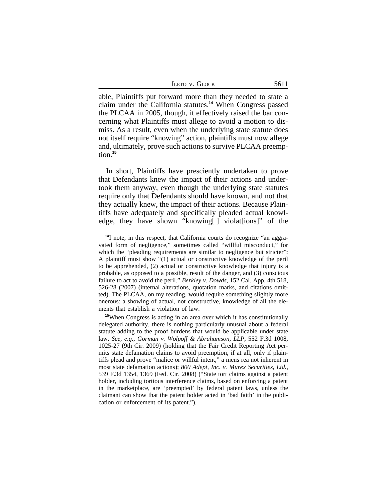| LETO V. GLOCK |
|---------------|
|               |

able, Plaintiffs put forward more than they needed to state a claim under the California statutes.**<sup>14</sup>** When Congress passed the PLCAA in 2005, though, it effectively raised the bar concerning what Plaintiffs must allege to avoid a motion to dismiss. As a result, even when the underlying state statute does not itself require "knowing" action, plaintiffs must now allege and, ultimately, prove such actions to survive PLCAA preemption.**<sup>15</sup>**

In short, Plaintiffs have presciently undertaken to prove that Defendants knew the impact of their actions and undertook them anyway, even though the underlying state statutes require only that Defendants should have known, and not that they actually knew, the impact of their actions. Because Plaintiffs have adequately and specifically pleaded actual knowledge, they have shown "knowing[ ] violat[ions]" of the

**<sup>14</sup>**I note, in this respect, that California courts do recognize "an aggravated form of negligence," sometimes called "willful misconduct," for which the "pleading requirements are similar to negligence but stricter": A plaintiff must show "(1) actual or constructive knowledge of the peril to be apprehended, (2) actual or constructive knowledge that injury is a probable, as opposed to a possible, result of the danger, and (3) conscious failure to act to avoid the peril." *Berkley v. Dowds*, 152 Cal. App. 4th 518, 526-28 (2007) (internal alterations, quotation marks, and citations omitted). The PLCAA, on my reading, would require something slightly more onerous: a showing of actual, not constructive, knowledge of all the elements that establish a violation of law.

**<sup>15</sup>**When Congress is acting in an area over which it has constitutionally delegated authority, there is nothing particularly unusual about a federal statute adding to the proof burdens that would be applicable under state law. *See*, *e.g.*, *Gorman v. Wolpoff & Abrahamson, LLP*, 552 F.3d 1008, 1025-27 (9th Cir. 2009) (holding that the Fair Credit Reporting Act permits state defamation claims to avoid preemption, if at all, only if plaintiffs plead and prove "malice or willful intent," a mens rea not inherent in most state defamation actions); *800 Adept, Inc. v. Murex Securities, Ltd.*, 539 F.3d 1354, 1369 (Fed. Cir. 2008) ("State tort claims against a patent holder, including tortious interference claims, based on enforcing a patent in the marketplace, are 'preempted' by federal patent laws, unless the claimant can show that the patent holder acted in 'bad faith' in the publication or enforcement of its patent.").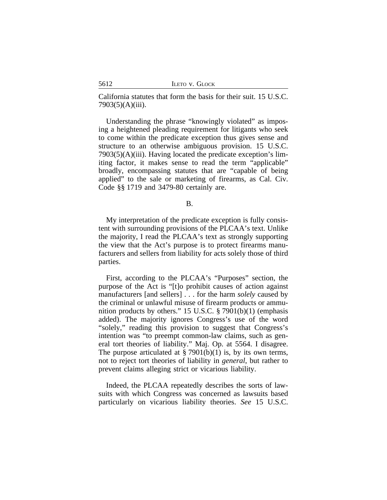California statutes that form the basis for their suit. 15 U.S.C. 7903(5)(A)(iii).

Understanding the phrase "knowingly violated" as imposing a heightened pleading requirement for litigants who seek to come within the predicate exception thus gives sense and structure to an otherwise ambiguous provision. 15 U.S.C.  $7903(5)$ (A)(iii). Having located the predicate exception's limiting factor, it makes sense to read the term "applicable" broadly, encompassing statutes that are "capable of being applied" to the sale or marketing of firearms, as Cal. Civ. Code §§ 1719 and 3479-80 certainly are.

My interpretation of the predicate exception is fully consistent with surrounding provisions of the PLCAA's text. Unlike the majority, I read the PLCAA's text as strongly supporting the view that the Act's purpose is to protect firearms manufacturers and sellers from liability for acts solely those of third parties.

First, according to the PLCAA's "Purposes" section, the purpose of the Act is "[t]o prohibit causes of action against manufacturers [and sellers] . . . for the harm *solely* caused by the criminal or unlawful misuse of firearm products or ammunition products by others." 15 U.S.C. § 7901(b)(1) (emphasis added). The majority ignores Congress's use of the word "solely," reading this provision to suggest that Congress's intention was "to preempt common-law claims, such as general tort theories of liability." Maj. Op. at 5564. I disagree. The purpose articulated at  $\S$  7901(b)(1) is, by its own terms, not to reject tort theories of liability in *general*, but rather to prevent claims alleging strict or vicarious liability.

Indeed, the PLCAA repeatedly describes the sorts of lawsuits with which Congress was concerned as lawsuits based particularly on vicarious liability theories. *See* 15 U.S.C.

B.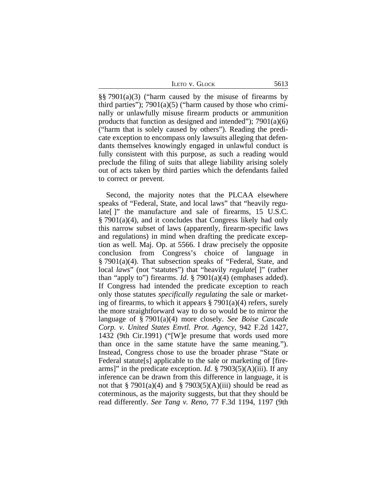|  |  |  | Leto v. Glock |  |
|--|--|--|---------------|--|
|--|--|--|---------------|--|

§§ 7901(a)(3) ("harm caused by the misuse of firearms by third parties");  $7901(a)(5)$  ("harm caused by those who criminally or unlawfully misuse firearm products or ammunition products that function as designed and intended");  $7901(a)(6)$ ("harm that is solely caused by others"). Reading the predicate exception to encompass only lawsuits alleging that defendants themselves knowingly engaged in unlawful conduct is fully consistent with this purpose, as such a reading would preclude the filing of suits that allege liability arising solely out of acts taken by third parties which the defendants failed to correct or prevent.

Second, the majority notes that the PLCAA elsewhere speaks of "Federal, State, and local laws" that "heavily regulate []" the manufacture and sale of firearms, 15 U.S.C. § 7901(a)(4), and it concludes that Congress likely had only this narrow subset of laws (apparently, firearm-specific laws and regulations) in mind when drafting the predicate exception as well. Maj. Op. at 5566. I draw precisely the opposite conclusion from Congress's choice of language in § 7901(a)(4). That subsection speaks of "Federal, State, and local *laws*" (not "statutes") that "heavily *regulate*[ ]" (rather than "apply to") firearms. *Id*. § 7901(a)(4) (emphases added). If Congress had intended the predicate exception to reach only those statutes *specifically regulating* the sale or marketing of firearms, to which it appears  $\S 7901(a)(4)$  refers, surely the more straightforward way to do so would be to mirror the language of § 7901(a)(4) more closely. *See Boise Cascade Corp. v. United States Envtl. Prot. Agency*, 942 F.2d 1427, 1432 (9th Cir.1991) ("[W]e presume that words used more than once in the same statute have the same meaning."). Instead, Congress chose to use the broader phrase "State or Federal statute[s] applicable to the sale or marketing of [firearms]" in the predicate exception. *Id.* § 7903(5)(A)(iii). If any inference can be drawn from this difference in language, it is not that § 7901(a)(4) and § 7903(5)(A)(iii) should be read as coterminous, as the majority suggests, but that they should be read differently. *See Tang v. Reno*, 77 F.3d 1194, 1197 (9th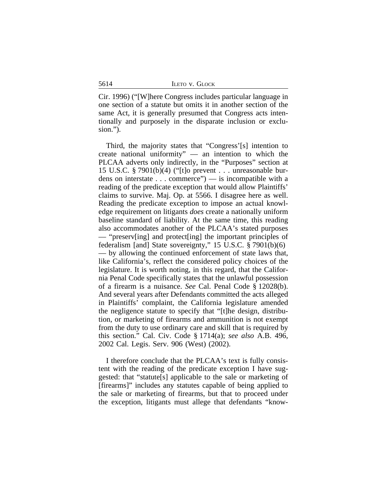Cir. 1996) ("[W]here Congress includes particular language in one section of a statute but omits it in another section of the same Act, it is generally presumed that Congress acts intentionally and purposely in the disparate inclusion or exclusion.").

Third, the majority states that "Congress'[s] intention to create national uniformity" — an intention to which the PLCAA adverts only indirectly, in the "Purposes" section at 15 U.S.C. § 7901(b)(4) ("[t]o prevent . . . unreasonable burdens on interstate . . . commerce") — is incompatible with a reading of the predicate exception that would allow Plaintiffs' claims to survive. Maj. Op. at 5566. I disagree here as well. Reading the predicate exception to impose an actual knowledge requirement on litigants *does* create a nationally uniform baseline standard of liability. At the same time, this reading also accommodates another of the PLCAA's stated purposes — "preserv[ing] and protect[ing] the important principles of federalism [and] State sovereignty," 15 U.S.C. § 7901(b)(6) — by allowing the continued enforcement of state laws that, like California's, reflect the considered policy choices of the legislature. It is worth noting, in this regard, that the California Penal Code specifically states that the unlawful possession of a firearm is a nuisance. *See* Cal. Penal Code § 12028(b). And several years after Defendants committed the acts alleged in Plaintiffs' complaint, the California legislature amended the negligence statute to specify that "[t]he design, distribution, or marketing of firearms and ammunition is not exempt from the duty to use ordinary care and skill that is required by this section." Cal. Civ. Code § 1714(a); *see also* A.B. 496, 2002 Cal. Legis. Serv. 906 (West) (2002).

I therefore conclude that the PLCAA's text is fully consistent with the reading of the predicate exception I have suggested: that "statute[s] applicable to the sale or marketing of [firearms]" includes any statutes capable of being applied to the sale or marketing of firearms, but that to proceed under the exception, litigants must allege that defendants "know-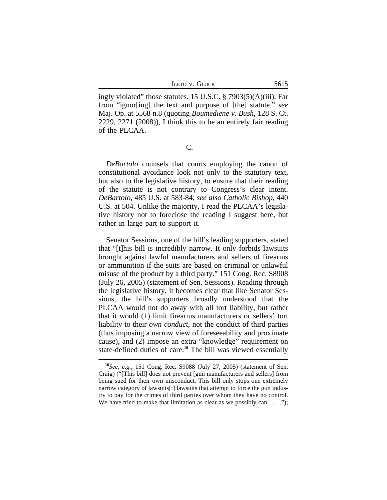ILETO V. GLOCK 5615

ingly violated" those statutes. 15 U.S.C. § 7903(5)(A)(iii). Far from "ignor[ing] the text and purpose of [the] statute," *see* Maj. Op. at 5568 n.8 (quoting *Boumediene v. Bush*, 128 S. Ct. 2229, 2271 (2008)), I think this to be an entirely fair reading of the PLCAA.

C.

*DeBartolo* counsels that courts employing the canon of constitutional avoidance look not only to the statutory text, but also to the legislative history, to ensure that their reading of the statute is not contrary to Congress's clear intent. *DeBartolo*, 485 U.S. at 583-84; *see also Catholic Bishop*, 440 U.S. at 504. Unlike the majority, I read the PLCAA's legislative history not to foreclose the reading I suggest here, but rather in large part to support it.

Senator Sessions, one of the bill's leading supporters, stated that "[t]his bill is incredibly narrow. It only forbids lawsuits brought against lawful manufacturers and sellers of firearms or ammunition if the suits are based on criminal or unlawful misuse of the product by a third party." 151 Cong. Rec. S8908 (July 26, 2005) (statement of Sen. Sessions). Reading through the legislative history, it becomes clear that like Senator Sessions, the bill's supporters broadly understood that the PLCAA would not do away with all tort liability, but rather that it would (1) limit firearms manufacturers or sellers' tort liability to their *own conduct*, not the conduct of third parties (thus imposing a narrow view of foreseeability and proximate cause), and (2) impose an extra "knowledge" requirement on state-defined duties of care.**<sup>16</sup>** The bill was viewed essentially

**<sup>16</sup>***See, e.g.,* 151 Cong. Rec. S9088 (July 27, 2005) (statement of Sen. Craig) ("[This bill] does not prevent [gun manufacturers and sellers] from being sued for their own misconduct. This bill only stops one extremely narrow category of lawsuits[:] lawsuits that attempt to force the gun industry to pay for the crimes of third parties over whom they have no control. We have tried to make that limitation as clear as we possibly can  $\dots$  ");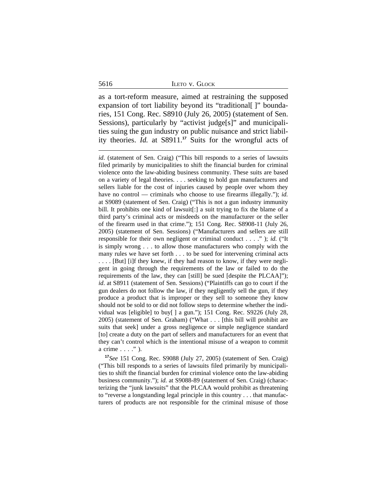|  | LETO V. GLOCK |
|--|---------------|
|  |               |

as a tort-reform measure, aimed at restraining the supposed expansion of tort liability beyond its "traditional []" boundaries, 151 Cong. Rec. S8910 (July 26, 2005) (statement of Sen. Sessions), particularly by "activist judge[s]" and municipalities suing the gun industry on public nuisance and strict liability theories. *Id.* at S8911.**<sup>17</sup>** Suits for the wrongful acts of

*id.* (statement of Sen. Craig) ("This bill responds to a series of lawsuits filed primarily by municipalities to shift the financial burden for criminal violence onto the law-abiding business community. These suits are based on a variety of legal theories. . . . seeking to hold gun manufacturers and sellers liable for the cost of injuries caused by people over whom they have no control — criminals who choose to use firearms illegally."); *id.* at S9089 (statement of Sen. Craig) ("This is not a gun industry immunity bill. It prohibits one kind of lawsuit[:] a suit trying to fix the blame of a third party's criminal acts or misdeeds on the manufacturer or the seller of the firearm used in that crime."); 151 Cong. Rec. S8908-11 (July 26, 2005) (statement of Sen. Sessions) ("Manufacturers and sellers are still responsible for their own negligent or criminal conduct . . . ." ); *id*. ("It is simply wrong . . . to allow those manufacturers who comply with the many rules we have set forth . . . to be sued for intervening criminal acts . . . . [But] [i]f they knew, if they had reason to know, if they were negligent in going through the requirements of the law or failed to do the requirements of the law, they can [still] be sued [despite the PLCAA]"); *id*. at S8911 (statement of Sen. Sessions) ("Plaintiffs can go to court if the gun dealers do not follow the law, if they negligently sell the gun, if they produce a product that is improper or they sell to someone they know should not be sold to or did not follow steps to determine whether the individual was [eligible] to buy[ ] a gun."); 151 Cong. Rec. S9226 (July 28, 2005) (statement of Sen. Graham) ("What . . . [this bill will prohibit are suits that seek] under a gross negligence or simple negligence standard [to] create a duty on the part of sellers and manufacturers for an event that they can't control which is the intentional misuse of a weapon to commit a crime . . . ." ).

**<sup>17</sup>***See* 151 Cong. Rec. S9088 (July 27, 2005) (statement of Sen. Craig) ("This bill responds to a series of lawsuits filed primarily by municipalities to shift the financial burden for criminal violence onto the law-abiding business community."); *id.* at S9088-89 (statement of Sen. Craig) (characterizing the "junk lawsuits" that the PLCAA would prohibit as threatening to "reverse a longstanding legal principle in this country . . . that manufacturers of products are not responsible for the criminal misuse of those

5616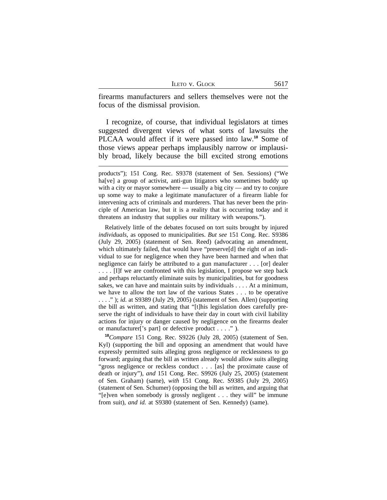|  |  | LETO V. GLOCK |
|--|--|---------------|
|--|--|---------------|

firearms manufacturers and sellers themselves were not the focus of the dismissal provision.

I recognize, of course, that individual legislators at times suggested divergent views of what sorts of lawsuits the PLCAA would affect if it were passed into law.**<sup>18</sup>** Some of those views appear perhaps implausibly narrow or implausibly broad, likely because the bill excited strong emotions

Relatively little of the debates focused on tort suits brought by injured *individuals*, as opposed to municipalities. *But see* 151 Cong. Rec. S9386 (July 29, 2005) (statement of Sen. Reed) (advocating an amendment, which ultimately failed, that would have "preserve[d] the right of an individual to sue for negligence when they have been harmed and when that negligence can fairly be attributed to a gun manufacturer . . . [or] dealer . . . . [I]f we are confronted with this legislation, I propose we step back and perhaps reluctantly eliminate suits by municipalities, but for goodness sakes, we can have and maintain suits by individuals . . . . At a minimum, we have to allow the tort law of the various States . . . to be operative . . . ." ); *id*. at S9389 (July 29, 2005) (statement of Sen. Allen) (supporting the bill as written, and stating that "[t]his legislation does carefully preserve the right of individuals to have their day in court with civil liability actions for injury or danger caused by negligence on the firearms dealer or manufacturer['s part] or defective product . . . ." ).

**<sup>18</sup>***Compare* 151 Cong. Rec. S9226 (July 28, 2005) (statement of Sen. Kyl) (supporting the bill and opposing an amendment that would have expressly permitted suits alleging gross negligence or recklessness to go forward; arguing that the bill as written already would allow suits alleging "gross negligence or reckless conduct . . . [as] the proximate cause of death or injury"), *and* 151 Cong. Rec. S9926 (July 25, 2005) (statement of Sen. Graham) (same), *with* 151 Cong. Rec. S9385 (July 29, 2005) (statement of Sen. Schumer) (opposing the bill as written, and arguing that "[e]ven when somebody is grossly negligent . . . they will" be immune from suit), *and id.* at S9380 (statement of Sen. Kennedy) (same).

products"); 151 Cong. Rec. S9378 (statement of Sen. Sessions) ("We ha[ve] a group of activist, anti-gun litigators who sometimes buddy up with a city or mayor somewhere — usually a big city — and try to conjure up some way to make a legitimate manufacturer of a firearm liable for intervening acts of criminals and murderers. That has never been the principle of American law, but it is a reality that is occurring today and it threatens an industry that supplies our military with weapons.").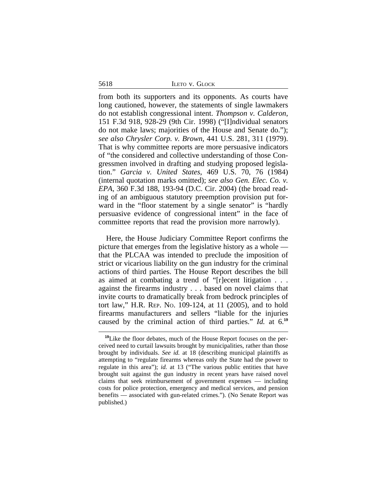#### 5618 ILETO v. GLOCK

from both its supporters and its opponents. As courts have long cautioned, however, the statements of single lawmakers do not establish congressional intent. *Thompson v. Calderon*, 151 F.3d 918, 928-29 (9th Cir. 1998) ("[I]ndividual senators do not make laws; majorities of the House and Senate do."); *see also Chrysler Corp. v. Brown*, 441 U.S. 281, 311 (1979). That is why committee reports are more persuasive indicators of "the considered and collective understanding of those Congressmen involved in drafting and studying proposed legislation." *Garcia v. United States*, 469 U.S. 70, 76 (1984) (internal quotation marks omitted); *see also Gen. Elec. Co. v. EPA*, 360 F.3d 188, 193-94 (D.C. Cir. 2004) (the broad reading of an ambiguous statutory preemption provision put forward in the "floor statement by a single senator" is "hardly persuasive evidence of congressional intent" in the face of committee reports that read the provision more narrowly).

Here, the House Judiciary Committee Report confirms the picture that emerges from the legislative history as a whole that the PLCAA was intended to preclude the imposition of strict or vicarious liability on the gun industry for the criminal actions of third parties. The House Report describes the bill as aimed at combating a trend of "[r]ecent litigation . . . against the firearms industry . . . based on novel claims that invite courts to dramatically break from bedrock principles of tort law," H.R. REP. NO. 109-124, at 11 (2005), and to hold firearms manufacturers and sellers "liable for the injuries caused by the criminal action of third parties." *Id.* at 6.**<sup>19</sup>**

**<sup>19</sup>**Like the floor debates, much of the House Report focuses on the perceived need to curtail lawsuits brought by municipalities, rather than those brought by individuals. *See id.* at 18 (describing municipal plaintiffs as attempting to "regulate firearms whereas only the State had the power to regulate in this area"); *id.* at 13 ("The various public entities that have brought suit against the gun industry in recent years have raised novel claims that seek reimbursement of government expenses — including costs for police protection, emergency and medical services, and pension benefits — associated with gun-related crimes."). (No Senate Report was published.)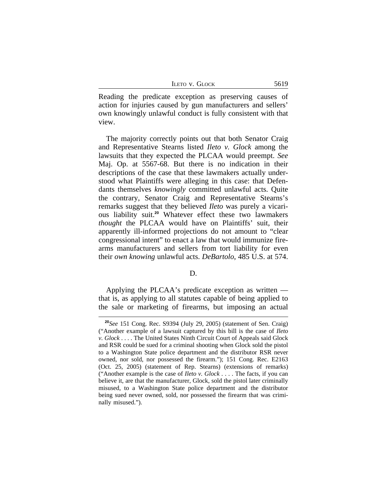| <b>LETO V. GLOCK</b> |  |
|----------------------|--|
|----------------------|--|

Reading the predicate exception as preserving causes of action for injuries caused by gun manufacturers and sellers' own knowingly unlawful conduct is fully consistent with that view.

The majority correctly points out that both Senator Craig and Representative Stearns listed *Ileto v. Glock* among the lawsuits that they expected the PLCAA would preempt. *See* Maj. Op. at 5567-68. But there is no indication in their descriptions of the case that these lawmakers actually understood what Plaintiffs were alleging in this case: that Defendants themselves *knowingly* committed unlawful acts. Quite the contrary, Senator Craig and Representative Stearns's remarks suggest that they believed *Ileto* was purely a vicarious liability suit.**<sup>20</sup>** Whatever effect these two lawmakers *thought* the PLCAA would have on Plaintiffs' suit, their apparently ill-informed projections do not amount to "clear congressional intent" to enact a law that would immunize firearms manufacturers and sellers from tort liability for even their *own knowing* unlawful acts. *DeBartolo*, 485 U.S. at 574.

#### D.

Applying the PLCAA's predicate exception as written that is, as applying to all statutes capable of being applied to the sale or marketing of firearms, but imposing an actual

**<sup>20</sup>***See* 151 Cong. Rec. S9394 (July 29, 2005) (statement of Sen. Craig) ("Another example of a lawsuit captured by this bill is the case of *Ileto v. Glock* . . . . The United States Ninth Circuit Court of Appeals said Glock and RSR could be sued for a criminal shooting when Glock sold the pistol to a Washington State police department and the distributor RSR never owned, nor sold, nor possessed the firearm."); 151 Cong. Rec. E2163 (Oct. 25, 2005) (statement of Rep. Stearns) (extensions of remarks) ("Another example is the case of *Ileto v. Glock* . . . . The facts, if you can believe it, are that the manufacturer, Glock, sold the pistol later criminally misused, to a Washington State police department and the distributor being sued never owned, sold, nor possessed the firearm that was criminally misused.").